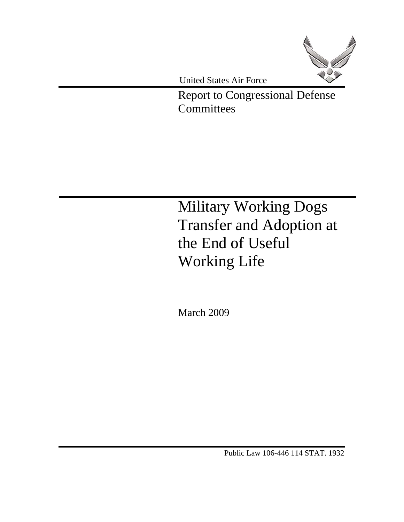

United States Air Force

 Report to Congressional Defense **Committees** 

Military Working Dogs Transfer and Adoption at the End of Useful Working Life

March 2009

Public Law 106-446 114 STAT. 1932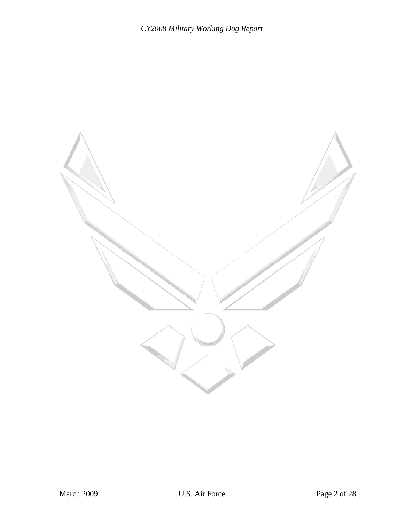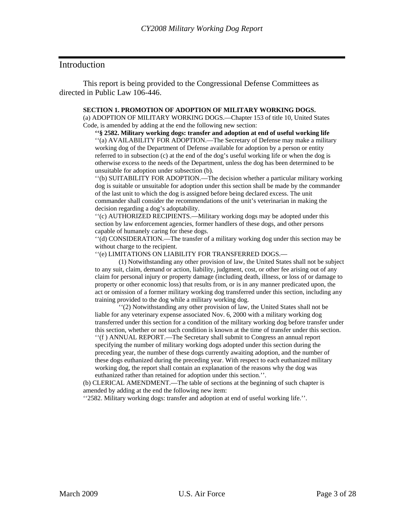### Introduction

 This report is being provided to the Congressional Defense Committees as directed in Public Law 106-446.

#### **SECTION 1. PROMOTION OF ADOPTION OF MILITARY WORKING DOGS.**

(a) ADOPTION OF MILITARY WORKING DOGS.—Chapter 153 of title 10, United States Code, is amended by adding at the end the following new section:

**''§ 2582. Military working dogs: transfer and adoption at end of useful working life**  ''(a) AVAILABILITY FOR ADOPTION.—The Secretary of Defense may make a military working dog of the Department of Defense available for adoption by a person or entity referred to in subsection (c) at the end of the dog's useful working life or when the dog is otherwise excess to the needs of the Department, unless the dog has been determined to be unsuitable for adoption under subsection (b).

''(b) SUITABILITY FOR ADOPTION.—The decision whether a particular military working dog is suitable or unsuitable for adoption under this section shall be made by the commander of the last unit to which the dog is assigned before being declared excess. The unit commander shall consider the recommendations of the unit's veterinarian in making the decision regarding a dog's adoptability.

''(c) AUTHORIZED RECIPIENTS.—Military working dogs may be adopted under this section by law enforcement agencies, former handlers of these dogs, and other persons capable of humanely caring for these dogs.

''(d) CONSIDERATION.—The transfer of a military working dog under this section may be without charge to the recipient.

''(e) LIMITATIONS ON LIABILITY FOR TRANSFERRED DOGS.—

(1) Notwithstanding any other provision of law, the United States shall not be subject to any suit, claim, demand or action, liability, judgment, cost, or other fee arising out of any claim for personal injury or property damage (including death, illness, or loss of or damage to property or other economic loss) that results from, or is in any manner predicated upon, the act or omission of a former military working dog transferred under this section, including any training provided to the dog while a military working dog.

''(2) Notwithstanding any other provision of law, the United States shall not be liable for any veterinary expense associated Nov. 6, 2000 with a military working dog transferred under this section for a condition of the military working dog before transfer under this section, whether or not such condition is known at the time of transfer under this section.

''(f ) ANNUAL REPORT.—The Secretary shall submit to Congress an annual report specifying the number of military working dogs adopted under this section during the preceding year, the number of these dogs currently awaiting adoption, and the number of these dogs euthanized during the preceding year. With respect to each euthanized military working dog, the report shall contain an explanation of the reasons why the dog was euthanized rather than retained for adoption under this section.''.

(b) CLERICAL AMENDMENT.—The table of sections at the beginning of such chapter is amended by adding at the end the following new item:

''2582. Military working dogs: transfer and adoption at end of useful working life.''.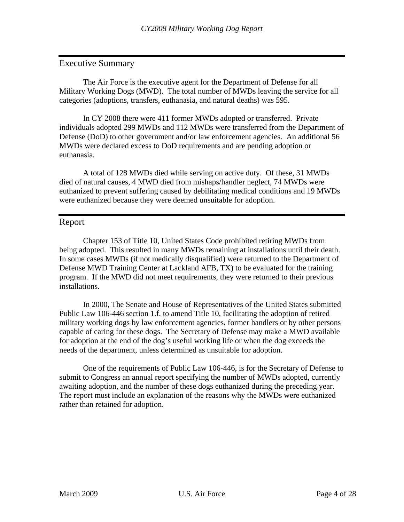### Executive Summary

The Air Force is the executive agent for the Department of Defense for all Military Working Dogs (MWD). The total number of MWDs leaving the service for all categories (adoptions, transfers, euthanasia, and natural deaths) was 595.

In CY 2008 there were 411 former MWDs adopted or transferred. Private individuals adopted 299 MWDs and 112 MWDs were transferred from the Department of Defense (DoD) to other government and/or law enforcement agencies. An additional 56 MWDs were declared excess to DoD requirements and are pending adoption or euthanasia.

A total of 128 MWDs died while serving on active duty. Of these, 31 MWDs died of natural causes, 4 MWD died from mishaps/handler neglect, 74 MWDs were euthanized to prevent suffering caused by debilitating medical conditions and 19 MWDs were euthanized because they were deemed unsuitable for adoption.

### Report

Chapter 153 of Title 10, United States Code prohibited retiring MWDs from being adopted. This resulted in many MWDs remaining at installations until their death. In some cases MWDs (if not medically disqualified) were returned to the Department of Defense MWD Training Center at Lackland AFB, TX) to be evaluated for the training program. If the MWD did not meet requirements, they were returned to their previous installations.

In 2000, The Senate and House of Representatives of the United States submitted Public Law 106-446 section 1.f. to amend Title 10, facilitating the adoption of retired military working dogs by law enforcement agencies, former handlers or by other persons capable of caring for these dogs. The Secretary of Defense may make a MWD available for adoption at the end of the dog's useful working life or when the dog exceeds the needs of the department, unless determined as unsuitable for adoption.

One of the requirements of Public Law 106-446, is for the Secretary of Defense to submit to Congress an annual report specifying the number of MWDs adopted, currently awaiting adoption, and the number of these dogs euthanized during the preceding year. The report must include an explanation of the reasons why the MWDs were euthanized rather than retained for adoption.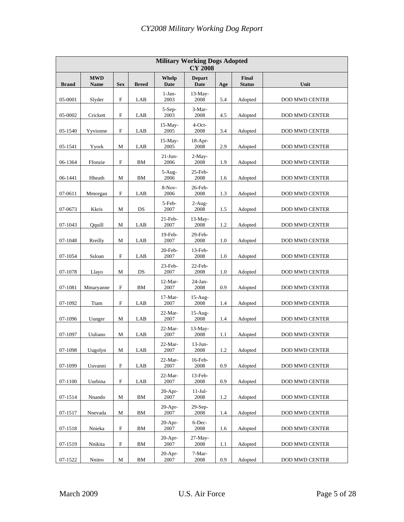| <b>Military Working Dogs Adopted</b><br><b>CY 2008</b> |                           |                           |              |                    |                              |     |                        |                       |  |  |  |  |
|--------------------------------------------------------|---------------------------|---------------------------|--------------|--------------------|------------------------------|-----|------------------------|-----------------------|--|--|--|--|
| <b>Brand</b>                                           | <b>MWD</b><br><b>Name</b> | <b>Sex</b>                | <b>Breed</b> | Whelp<br>Date      | <b>Depart</b><br><b>Date</b> | Age | Final<br><b>Status</b> | Unit                  |  |  |  |  |
| 05-0001                                                | Slyder                    | $\boldsymbol{\mathrm{F}}$ | LAB          | 1-Jan-<br>2003     | 13-May-<br>2008              | 5.4 | Adopted                | DOD MWD CENTER        |  |  |  |  |
| 05-0002                                                | Crickett                  | $\boldsymbol{\mathrm{F}}$ | LAB          | 5-Sep-<br>2003     | 3-Mar-<br>2008               | 4.5 | Adopted                | DOD MWD CENTER        |  |  |  |  |
| 05-1540                                                | Yyvionne                  | F                         | LAB          | $15-May-$<br>2005  | 4-Oct-<br>2008               | 3.4 | Adopted                | DOD MWD CENTER        |  |  |  |  |
| 05-1541                                                | Yyork                     | M                         | LAB          | $15-May-$<br>2005  | $18-Apr-$<br>2008            | 2.9 | Adopted                | DOD MWD CENTER        |  |  |  |  |
| 06-1364                                                | Ffonzie                   | F                         | BM           | $21-J$ un-<br>2006 | $2-May-$<br>2008             | 1.9 | Adopted                | DOD MWD CENTER        |  |  |  |  |
| 06-1441                                                | Hheath                    | M                         | ${\rm BM}$   | 5-Aug-<br>2006     | 25-Feb-<br>2008              | 1.6 | Adopted                | DOD MWD CENTER        |  |  |  |  |
| 07-0611                                                | Mmorgan                   | $\mathbf F$               | LAB          | $8-Nov-$<br>2006   | 26-Feb-<br>2008              | 1.3 | Adopted                | DOD MWD CENTER        |  |  |  |  |
| 07-0673                                                | Kkris                     | М                         | DS           | 5-Feb-<br>2007     | $2-Aug-$<br>2008             | 1.5 | Adopted                | DOD MWD CENTER        |  |  |  |  |
| 07-1043                                                | Qquill                    | М                         | LAB          | $21$ -Feb-<br>2007 | $13-May-$<br>2008            | 1.2 | Adopted                | DOD MWD CENTER        |  |  |  |  |
| 07-1048                                                | Rreilly                   | M                         | LAB          | 19-Feb-<br>2007    | 29-Feb-<br>2008              | 1.0 | Adopted                | DOD MWD CENTER        |  |  |  |  |
| 07-1054                                                | Ssloan                    | F                         | LAB          | $20$ -Feb-<br>2007 | $13$ -Feb-<br>2008           | 1.0 | Adopted                | DOD MWD CENTER        |  |  |  |  |
| 07-1078                                                | Llayo                     | M                         | DS           | $23$ -Feb-<br>2007 | $22$ -Feb-<br>2008           | 1.0 | Adopted                | DOD MWD CENTER        |  |  |  |  |
| 07-1081                                                | Mmaryanne                 | $\boldsymbol{\mathrm{F}}$ | BM           | $12-Mar-$<br>2007  | $24-Jan-$<br>2008            | 0.9 | Adopted                | DOD MWD CENTER        |  |  |  |  |
| 07-1092                                                | Ttam                      | $\boldsymbol{\mathrm{F}}$ | LAB          | $17-Mar-$<br>2007  | $15-Aug-$<br>2008            | 1.4 | Adopted                | DOD MWD CENTER        |  |  |  |  |
| 07-1096                                                | Uunger                    | М                         | LAB          | $22-Mar-$<br>2007  | $15-Aug-$<br>2008            | 1.4 | Adopted                | DOD MWD CENTER        |  |  |  |  |
| 07-1097                                                | Uuliano                   | M                         | LAB          | $22-Mar-$<br>2007  | 13-May-<br>2008              | 1.1 | Adopted                | DOD MWD CENTER        |  |  |  |  |
| 07-1098                                                | Ungolyn                   | M                         | LAB.         | $22-Mar-$<br>2007  | $13$ -Jun-<br>2008           | 1.2 | Adopted                | DOD MWD CENTER        |  |  |  |  |
| 07-1099                                                | Uuvanni                   | F                         | LAB          | $22-Mar-$<br>2007  | $16$ -Feb-<br>2008           | 0.9 | Adopted                | <b>DOD MWD CENTER</b> |  |  |  |  |
| 07-1100                                                | Uurbina                   | F                         | LAB          | $22-Mar-$<br>2007  | $13$ -Feb-<br>2008           | 0.9 | Adopted                | <b>DOD MWD CENTER</b> |  |  |  |  |
| 07-1514                                                | Nnando                    | M                         | ΒM           | $20-Apr-$<br>2007  | $11-Jul-$<br>2008            | 1.2 | Adopted                | DOD MWD CENTER        |  |  |  |  |
| 07-1517                                                | Nnevada                   | М                         | BM           | $20-Apr-$<br>2007  | $29-Sep-$<br>2008            | 1.4 | Adopted                | DOD MWD CENTER        |  |  |  |  |
| 07-1518                                                | Nnieka                    | F                         | BM           | $20$ -Apr-<br>2007 | 6-Dec-<br>2008               | 1.6 | Adopted                | <b>DOD MWD CENTER</b> |  |  |  |  |
| 07-1519                                                | Nnikita                   | F                         | BM           | $20-Apr-$<br>2007  | $27-May-$<br>2008            | 1.1 | Adopted                | DOD MWD CENTER        |  |  |  |  |
| 07-1522                                                | Nnitro                    | $\mathbf M$               | BM           | $20$ -Apr-<br>2007 | 7-Mar-<br>2008               | 0.9 | Adopted                | DOD MWD CENTER        |  |  |  |  |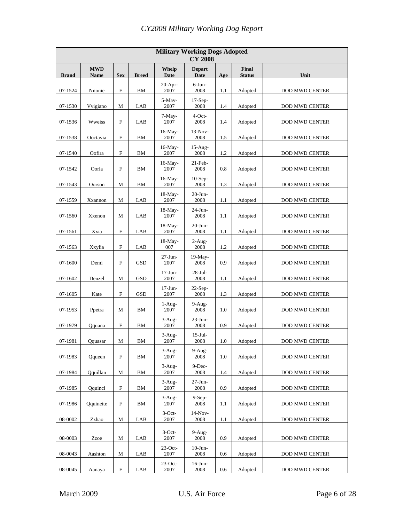| <b>Military Working Dogs Adopted</b><br><b>CY 2008</b> |                           |                           |              |                      |                        |     |                        |                       |  |  |  |  |
|--------------------------------------------------------|---------------------------|---------------------------|--------------|----------------------|------------------------|-----|------------------------|-----------------------|--|--|--|--|
| <b>Brand</b>                                           | <b>MWD</b><br><b>Name</b> | <b>Sex</b>                | <b>Breed</b> | Whelp<br>Date        | <b>Depart</b><br>Date  | Age | Final<br><b>Status</b> | Unit                  |  |  |  |  |
| 07-1524                                                | Nnonie                    | $\boldsymbol{\mathrm{F}}$ | ΒM           | $20-Apr-$<br>2007    | 6-Jun-<br>2008         | 1.1 | Adopted                | DOD MWD CENTER        |  |  |  |  |
| 07-1530                                                | Vvigiano                  | М                         | LAB          | 5-May-<br>2007       | $17-Sep-$<br>2008      | 1.4 | Adopted                | DOD MWD CENTER        |  |  |  |  |
| 07-1536                                                | Wweiss                    | $\boldsymbol{\mathrm{F}}$ | LAB          | 7-May-<br>2007       | 4-Oct-<br>2008         | 1.4 | Adopted                | DOD MWD CENTER        |  |  |  |  |
| 07-1538                                                | Ooctavia                  | $\mathbf F$               | BM           | 16-May-<br>2007      | $13-Nov-$<br>2008      | 1.5 | Adopted                | DOD MWD CENTER        |  |  |  |  |
| 07-1540                                                | Oofira                    | F                         | BM           | 16-May-<br>2007      | 15-Aug-<br>2008        | 1.2 | Adopted                | DOD MWD CENTER        |  |  |  |  |
| 07-1542                                                | Oorla                     | F                         | BM           | $16$ -May-<br>2007   | $21$ -Feb-<br>2008     | 0.8 | Adopted                | DOD MWD CENTER        |  |  |  |  |
| 07-1543                                                | Oorson                    | М                         | ΒM           | $16$ -May-<br>2007   | $10-Sep-$<br>2008      | 1.3 | Adopted                | DOD MWD CENTER        |  |  |  |  |
| 07-1559                                                | Xxannon                   | М                         | LAB          | 18-May-<br>2007      | $20$ -Jun-<br>2008     | 1.1 | Adopted                | DOD MWD CENTER        |  |  |  |  |
| 07-1560                                                | Xxenon                    | М                         | LAB          | 18-May-<br>2007      | $24$ -Jun-<br>2008     | 1.1 | Adopted                | DOD MWD CENTER        |  |  |  |  |
| 07-1561                                                | Xxia                      | F                         | LAB          | 18-May-<br>2007      | $20$ -Jun-<br>2008     | 1.1 | Adopted                | DOD MWD CENTER        |  |  |  |  |
| 07-1563                                                | Xxylia                    | F                         | LAB          | $18-May-$<br>007     | $2-Aug-$<br>2008       | 1.2 | Adopted                | DOD MWD CENTER        |  |  |  |  |
| 07-1600                                                | Demi                      | F                         | <b>GSD</b>   | $27 - Jun -$<br>2007 | 19-May-<br>2008        | 0.9 | Adopted                | DOD MWD CENTER        |  |  |  |  |
| 07-1602                                                | Denzel                    | М                         | <b>GSD</b>   | $17$ -Jun-<br>2007   | $28 - Jul -$<br>2008   | 1.1 | Adopted                | DOD MWD CENTER        |  |  |  |  |
| 07-1605                                                | Kate                      | $\boldsymbol{\mathrm{F}}$ | <b>GSD</b>   | $17-J$ un-<br>2007   | $22-Sep-$<br>2008      | 1.3 | Adopted                | DOD MWD CENTER        |  |  |  |  |
| 07-1953                                                | Ppetra                    | M                         | BM           | 1-Aug-<br>2007       | $9-Aug-$<br>2008       | 1.0 | Adopted                | DOD MWD CENTER        |  |  |  |  |
| 07-1979                                                | Qquana                    | F                         | <b>BM</b>    | $3-Aug-$<br>2007     | $23$ -Jun-<br>2008     | 0.9 | Adopted                | <b>DOD MWD CENTER</b> |  |  |  |  |
| 07-1981                                                | Oquasar                   | M                         | ${\rm BM}$   | $3-Aug-$<br>2007     | $15$ -Jul-<br>2008     | 1.0 | Adopted                | DOD MWD CENTER        |  |  |  |  |
| 07-1983                                                | Qqueen                    | F                         | BM           | $3-Aug-$<br>2007     | $9-Aug-$<br>2008       | 1.0 | Adopted                | <b>DOD MWD CENTER</b> |  |  |  |  |
| 07-1984                                                | Qquillan                  | М                         | BМ           | $3-Aug-$<br>2007     | 9-Dec-<br>2008         | 1.4 | Adopted                | <b>DOD MWD CENTER</b> |  |  |  |  |
| 07-1985                                                | Qquinci                   | $\boldsymbol{\mathrm{F}}$ | BM           | $3-Aug-$<br>2007     | $27 - Jun -$<br>2008   | 0.9 | Adopted                | DOD MWD CENTER        |  |  |  |  |
| 07-1986                                                | Qquinette                 | $\boldsymbol{\mathrm{F}}$ | BM           | $3-Aug-$<br>2007     | $9-Sep-$<br>2008       | 1.1 | Adopted                | DOD MWD CENTER        |  |  |  |  |
| 08-0002                                                | Zzhao                     | М                         | LAB          | $3$ -Oct-<br>2007    | 14-Nov-<br>2008        | 1.1 | Adopted                | DOD MWD CENTER        |  |  |  |  |
| 08-0003                                                | Zzoe                      | $\mathbf M$               | LAB          | $3$ -Oct-<br>2007    | $9-Aug -$<br>2008      | 0.9 | Adopted                | <b>DOD MWD CENTER</b> |  |  |  |  |
| 08-0043                                                | Aashton                   | $\mathbf M$               | LAB          | $23$ -Oct-<br>2007   | $10$ -Jun-<br>$2008\,$ | 0.6 | Adopted                | DOD MWD CENTER        |  |  |  |  |
| 08-0045                                                | Aanaya                    | $\mathbf F$               | LAB          | $23$ -Oct-<br>2007   | $16$ -Jun-<br>2008     | 0.6 | Adopted                | DOD MWD CENTER        |  |  |  |  |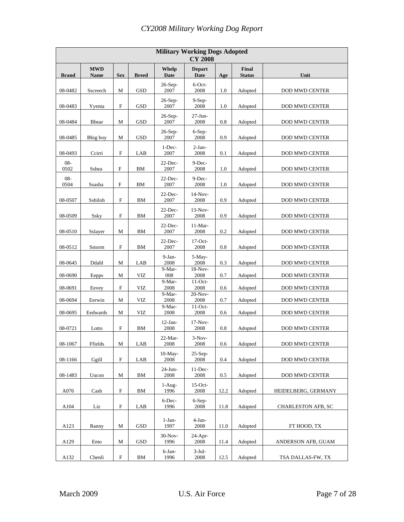| <b>Military Working Dogs Adopted</b><br><b>CY 2008</b> |                           |             |              |                      |                              |      |                        |                       |  |  |  |
|--------------------------------------------------------|---------------------------|-------------|--------------|----------------------|------------------------------|------|------------------------|-----------------------|--|--|--|
| <b>Brand</b>                                           | <b>MWD</b><br><b>Name</b> | <b>Sex</b>  | <b>Breed</b> | <b>Whelp</b><br>Date | <b>Depart</b><br><b>Date</b> | Age  | Final<br><b>Status</b> | Unit                  |  |  |  |
| 08-0482                                                | Sscreech                  | М           | GSD          | $26-Sep-$<br>2007    | 6-Oct-<br>2008               | 1.0  | Adopted                | DOD MWD CENTER        |  |  |  |
| 08-0483                                                | Yyenta                    | $\mathbf F$ | GSD          | $26-Sep-$<br>2007    | $9-Sep-$<br>2008             | 1.0  | Adopted                | DOD MWD CENTER        |  |  |  |
| 08-0484                                                | <b>B</b> bear             | M           | <b>GSD</b>   | $26-Sep-$<br>2007    | $27 - Jun -$<br>2008         | 0.8  | Adopted                | DOD MWD CENTER        |  |  |  |
| 08-0485                                                | Bbig boy                  | M           | GSD          | $26-Sep-$<br>2007    | 6-Sep-<br>2008               | 0.9  | Adopted                | DOD MWD CENTER        |  |  |  |
| 08-0493                                                | Ccirri                    | $\mathbf F$ | LAB          | 1-Dec-<br>2007       | $2-Jan-$<br>2008             | 0.1  | Adopted                | DOD MWD CENTER        |  |  |  |
| 08-<br>0502                                            | Sshea                     | F           | BM           | $22$ -Dec-<br>2007   | 9-Dec-<br>2008               | 1.0  | Adopted                | DOD MWD CENTER        |  |  |  |
| $08 -$<br>0504                                         | Ssasha                    | F           | BM           | $22$ -Dec-<br>2007   | 9-Dec-<br>2008               | 1.0  | Adopted                | DOD MWD CENTER        |  |  |  |
| 08-0507                                                | Sshiloh                   | F           | <b>BM</b>    | $22$ -Dec-<br>2007   | 14-Nov-<br>2008              | 0.9  | Adopted                | <b>DOD MWD CENTER</b> |  |  |  |
| 08-0509                                                | Ssky                      | F           | BM           | 22-Dec-<br>2007      | $13-Nov-$<br>2008            | 0.9  | Adopted                | <b>DOD MWD CENTER</b> |  |  |  |
| 08-0510                                                | Sslayer                   | М           | BМ           | $22$ -Dec-<br>2007   | $11-Mar-$<br>2008            | 0.2  | Adopted                | DOD MWD CENTER        |  |  |  |
| 08-0512                                                | Sstorm                    | F           | BM           | $22$ -Dec-<br>2007   | $17$ -Oct-<br>2008           | 0.8  | Adopted                | DOD MWD CENTER        |  |  |  |
| 08-0645                                                | Ddahl                     | М           | LAB          | 9-Jan-<br>2008       | 5-May-<br>2008               | 0.3  | Adopted                | DOD MWD CENTER        |  |  |  |
| 08-0690                                                | Eepps                     | M           | <b>VIZ</b>   | 9-Mar-<br>008        | 18-Nov-<br>2008              | 0.7  | Adopted                | DOD MWD CENTER        |  |  |  |
| 08-0691                                                | Eevey                     | F           | VIZ          | 9-Mar-<br>2008       | $11$ -Oct-<br>2008           | 0.6  | Adopted                | <b>DOD MWD CENTER</b> |  |  |  |
| 08-0694                                                | Eerwin                    | M           | VIZ          | 9-Mar-<br>2008       | $20-Nov-$<br>2008            | 0.7  | Adopted                | DOD MWD CENTER        |  |  |  |
| 08-0695                                                | Eedwards                  | М           | VIZ          | 9-Mar-<br>2008       | $11$ -Oct-<br>2008           | 0.6  | Adopted                | <b>DOD MWD CENTER</b> |  |  |  |
| 08-0721                                                | Lotto                     | F           | BM           | $12-Ian-$<br>2008    | 17-Nov-<br>2008              | 0.8  | Adopted                | <b>DOD MWD CENTER</b> |  |  |  |
| 08-1067                                                | Ffields                   | М           | LAB          | 22-Mar-<br>2008      | $3-Nov-$<br>2008             | 0.6  | Adopted                | DOD MWD CENTER        |  |  |  |
| 08-1166                                                | Ggill                     | F           | LAB          | $10-May-$<br>2008    | $25-Sep-$<br>2008            | 0.4  | Adopted                | <b>DOD MWD CENTER</b> |  |  |  |
| 08-1483                                                | Uucon                     | $\mathbf M$ | BM           | 24-Jun-<br>2008      | $11$ -Dec-<br>2008           | 0.5  | Adopted                | <b>DOD MWD CENTER</b> |  |  |  |
| A076                                                   | Cash                      | F           | BМ           | $1-Aug-$<br>1996     | $15$ -Oct-<br>2008           | 12.2 | Adopted                | HEIDELBERG, GERMANY   |  |  |  |
| A104                                                   | Liz                       | $\mathbf F$ | LAB          | 6-Dec-<br>1996       | 6-Sep-<br>2008               | 11.8 | Adopted                | CHARLESTON AFB, SC    |  |  |  |
| A123                                                   | Ranny                     | М           | GSD          | $1-Jan-$<br>1997     | 4-Jan-<br>2008               | 11.0 | Adopted                | FT HOOD, TX           |  |  |  |
| A129                                                   | Emo                       | $\mathbf M$ | <b>GSD</b>   | $30-Nov-$<br>1996    | $24$ -Apr-<br>2008           | 11.4 | Adopted                | ANDERSON AFB, GUAM    |  |  |  |
| A132                                                   | Chenli                    | $\mathbf F$ | BМ           | 6-Jan-<br>1996       | $3-Jul-$<br>2008             | 12.5 | Adopted                | TSA DALLAS-FW, TX     |  |  |  |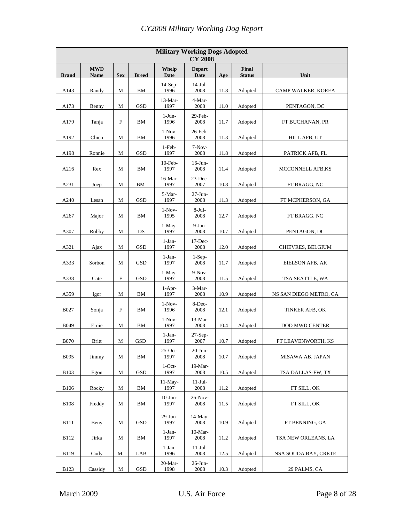|              | <b>Military Working Dogs Adopted</b><br><b>CY 2008</b> |                           |              |                    |                       |      |                        |                          |  |  |  |  |  |
|--------------|--------------------------------------------------------|---------------------------|--------------|--------------------|-----------------------|------|------------------------|--------------------------|--|--|--|--|--|
| <b>Brand</b> | <b>MWD</b><br><b>Name</b>                              | <b>Sex</b>                | <b>Breed</b> | Whelp<br>Date      | <b>Depart</b><br>Date | Age  | Final<br><b>Status</b> | Unit                     |  |  |  |  |  |
| A143         | Randy                                                  | M                         | BM           | $14-Sep-$<br>1996  | $14-Jul-$<br>2008     | 11.8 | Adopted                | CAMP WALKER, KOREA       |  |  |  |  |  |
| A173         | Benny                                                  | M                         | GSD          | $13-Mar-$<br>1997  | 4-Mar-<br>2008        | 11.0 | Adopted                | PENTAGON, DC             |  |  |  |  |  |
| A179         | Tanja                                                  | $\boldsymbol{\mathrm{F}}$ | BM           | $1-J$ un-<br>1996  | 29-Feb-<br>2008       | 11.7 | Adopted                | FT BUCHANAN, PR          |  |  |  |  |  |
| A192         | Chico                                                  | M                         | BM           | $1-Nov-$<br>1996   | 26-Feb-<br>2008       | 11.3 | Adopted                | HILL AFB, UT             |  |  |  |  |  |
| A198         | Ronnie                                                 | М                         | <b>GSD</b>   | 1-Feb-<br>1997     | $7-Nov-$<br>2008      | 11.8 | Adopted                | PATRICK AFB, FL          |  |  |  |  |  |
| A216         | Rex                                                    | M                         | BM           | $10$ -Feb-<br>1997 | $16$ -Jun-<br>2008    | 11.4 | Adopted                | MCCONNELL AFB,KS         |  |  |  |  |  |
| A231         | Joep                                                   | M                         | BM           | $16$ -Mar-<br>1997 | $23$ -Dec-<br>2007    | 10.8 | Adopted                | FT BRAGG, NC             |  |  |  |  |  |
| A240         | Lesan                                                  | M                         | <b>GSD</b>   | 5-Mar-<br>1997     | $27 - Jun -$<br>2008  | 11.3 | Adopted                | FT MCPHERSON, GA         |  |  |  |  |  |
| A267         | Major                                                  | М                         | BM           | $1-Nov-$<br>1995   | $8-Jul-$<br>2008      | 12.7 | Adopted                | FT BRAGG, NC             |  |  |  |  |  |
| A307         | Robby                                                  | М                         | DS           | 1-May-<br>1997     | $9-Ian-$<br>2008      | 10.7 | Adopted                | PENTAGON, DC             |  |  |  |  |  |
| A321         | Ajax                                                   | М                         | <b>GSD</b>   | $1-Jan-$<br>1997   | $17$ -Dec-<br>2008    | 12.0 | Adopted                | CHIEVRES, BELGIUM        |  |  |  |  |  |
| A333         | Sorbon                                                 | М                         | <b>GSD</b>   | $1-Jan-$<br>1997   | $1-Sep-$<br>2008      | 11.7 | Adopted                | EIELSON AFB, AK          |  |  |  |  |  |
| A338         | Cate                                                   | $_{\rm F}$                | <b>GSD</b>   | 1-May-<br>1997     | $9-Nov-$<br>2008      | 11.5 | Adopted                | TSA SEATTLE, WA          |  |  |  |  |  |
| A359         | Igor                                                   | M                         | ΒM           | $1-Apr-$<br>1997   | 3-Mar-<br>2008        | 10.9 | Adopted                | NS SAN DIEGO METRO, CA   |  |  |  |  |  |
| <b>B027</b>  | Sonja                                                  | F                         | BM           | $1-Nov-$<br>1996   | 8-Dec-<br>2008        | 12.1 | Adopted                | TINKER AFB, OK           |  |  |  |  |  |
| <b>B049</b>  | Ernie                                                  | М                         | BM           | $1-Nov-$<br>1997   | $13-Mar-$<br>2008     | 10.4 | Adopted                | <b>DOD MWD CENTER</b>    |  |  |  |  |  |
| <b>B070</b>  | Britt                                                  | M                         | <b>GSD</b>   | 1-Jan-<br>1997     | $27-Sep-$<br>2007     | 10.7 | Adopted                | <b>FT LEAVENWORTH KS</b> |  |  |  |  |  |
| <b>B095</b>  | Jimmy                                                  | M                         | ΒM           | $25$ -Oct-<br>1997 | $20$ -Jun-<br>2008    | 10.7 | Adopted                | MISAWA AB, JAPAN         |  |  |  |  |  |
| <b>B103</b>  | Egon                                                   | M                         | GSD          | $1-Oct-$<br>1997   | $19-Mar-$<br>2008     | 10.5 | Adopted                | TSA DALLAS-FW, TX        |  |  |  |  |  |
| <b>B106</b>  | Rocky                                                  | M                         | ΒM           | $11-May-$<br>1997  | $11-Jul-$<br>2008     | 11.2 | Adopted                | FT SILL, OK              |  |  |  |  |  |
| <b>B108</b>  | Freddy                                                 | M                         | ΒM           | $10$ -Jun-<br>1997 | $26-Nov-$<br>2008     | 11.5 | Adopted                | FT SILL, OK              |  |  |  |  |  |
| <b>B111</b>  | Beny                                                   | M                         | GSD          | 29-Jun-<br>1997    | $14-May-$<br>2008     | 10.9 | Adopted                | FT BENNING, GA           |  |  |  |  |  |
| <b>B112</b>  | Jirka                                                  | M                         | BM           | $1-Jan-$<br>1997   | $10-Mar-$<br>2008     | 11.2 | Adopted                | TSA NEW ORLEANS, LA      |  |  |  |  |  |
| <b>B119</b>  | Cody                                                   | М                         | LAB          | $1-Jan-$<br>1996   | $11-Jul-$<br>2008     | 12.5 | Adopted                | NSA SOUDA BAY, CRETE     |  |  |  |  |  |
| <b>B123</b>  | Cassidy                                                | M                         | <b>GSD</b>   | $20-Mar-$<br>1998  | $26$ -Jun-<br>2008    | 10.3 | Adopted                | 29 PALMS, CA             |  |  |  |  |  |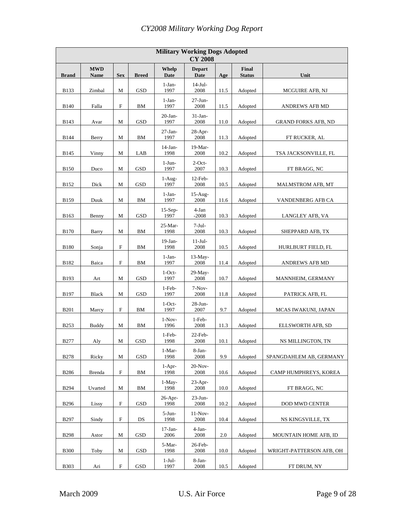|              | <b>Military Working Dogs Adopted</b><br><b>CY 2008</b> |                           |              |                     |                       |      |                        |                            |  |  |  |  |  |
|--------------|--------------------------------------------------------|---------------------------|--------------|---------------------|-----------------------|------|------------------------|----------------------------|--|--|--|--|--|
| <b>Brand</b> | <b>MWD</b><br>Name                                     | <b>Sex</b>                | <b>Breed</b> | Whelp<br>Date       | <b>Depart</b><br>Date | Age  | Final<br><b>Status</b> | Unit                       |  |  |  |  |  |
| <b>B133</b>  | Zimbal                                                 | M                         | GSD          | $1-Jan-$<br>1997    | $14-Jul-$<br>2008     | 11.5 | Adopted                | <b>MCGUIRE AFB, NJ</b>     |  |  |  |  |  |
| <b>B140</b>  | Falla                                                  | $\boldsymbol{\mathrm{F}}$ | BM           | $1-Jan-$<br>1997    | $27-J$ un-<br>2008    | 11.5 | Adopted                | ANDREWS AFB MD             |  |  |  |  |  |
| <b>B143</b>  | Avar                                                   | М                         | <b>GSD</b>   | $20-Ian-$<br>1997   | $31-Ian-$<br>2008     | 11.0 | Adopted                | <b>GRAND FORKS AFB, ND</b> |  |  |  |  |  |
| <b>B144</b>  | Berry                                                  | М                         | <b>BM</b>    | $27-Ian-$<br>1997   | $28-Apr-$<br>2008     | 11.3 | Adopted                | FT RUCKER, AL              |  |  |  |  |  |
| <b>B145</b>  | Vinny                                                  | M                         | LAB          | $14$ -Jan-<br>1998  | 19-Mar-<br>2008       | 10.2 | Adopted                | TSA JACKSONVILLE, FL       |  |  |  |  |  |
| <b>B150</b>  | Duco                                                   | М                         | <b>GSD</b>   | $1-J$ un-<br>1997   | $2$ -Oct-<br>2007     | 10.3 | Adopted                | FT BRAGG, NC               |  |  |  |  |  |
| <b>B152</b>  | Dick                                                   | М                         | GSD          | $1-Aug-$<br>1997    | $12$ -Feb-<br>2008    | 10.5 | Adopted                | MALMSTROM AFB, MT          |  |  |  |  |  |
| <b>B159</b>  | Duuk                                                   | М                         | <b>BM</b>    | $1-Jan-$<br>1997    | $15-Aug-$<br>2008     | 11.6 | Adopted                | VANDENBERG AFB CA          |  |  |  |  |  |
| <b>B163</b>  | Benny                                                  | М                         | GSD          | $15-Sep-$<br>1997   | 4-Jan<br>$-2008$      | 10.3 | Adopted                | LANGLEY AFB, VA            |  |  |  |  |  |
| <b>B170</b>  | Barry                                                  | М                         | BM           | 25-Mar-<br>1998     | $7-Jul-$<br>2008      | 10.3 | Adopted                | SHEPPARD AFB, TX           |  |  |  |  |  |
| <b>B180</b>  | Sonja                                                  | F                         | BM           | $19-Ian-$<br>1998   | $11-Jul-$<br>2008     | 10.5 | Adopted                | HURLBURT FIELD, FL         |  |  |  |  |  |
| B182         | Baica                                                  | $\boldsymbol{\mathrm{F}}$ | BM           | 1-Jan-<br>1997      | $13-May-$<br>2008     | 11.4 | Adopted                | ANDREWS AFB MD             |  |  |  |  |  |
| B193         | Art                                                    | M                         | <b>GSD</b>   | $1-Oct-$<br>1997    | 29-May-<br>2008       | 10.7 | Adopted                | <b>MANNHEIM, GERMANY</b>   |  |  |  |  |  |
| <b>B197</b>  | <b>Black</b>                                           | M                         | GSD          | 1-Feb-<br>1997      | $7-Nov-$<br>2008      | 11.8 | Adopted                | PATRICK AFB, FL            |  |  |  |  |  |
| <b>B201</b>  | Marcy                                                  | $\boldsymbol{\mathrm{F}}$ | <b>BM</b>    | $1$ -Oct-<br>1997   | $28-J$ un-<br>2007    | 9.7  | Adopted                | MCAS IWAKUNI, JAPAN        |  |  |  |  |  |
| <b>B253</b>  | <b>Buddy</b>                                           | М                         | BM           | $1-Nov-$<br>1996    | 1-Feb-<br>2008        | 11.3 | Adopted                | ELLSWORTH AFB, SD          |  |  |  |  |  |
| <b>B277</b>  | Alv                                                    | M                         | GSD          | 1-Feb-<br>1998      | 22-Feb-<br>2008       | 10.1 | Adopted                | <b>NS MILLINGTON TN</b>    |  |  |  |  |  |
| <b>B278</b>  | Ricky                                                  | M                         | <b>GSD</b>   | 1-Mar-<br>1998      | 8-Jan-<br>2008        | 9.9  | Adopted                | SPANGDAHLEM AB, GERMANY    |  |  |  |  |  |
| <b>B286</b>  | Brenda                                                 | F                         | ΒM           | $1-Apr-$<br>1998    | $20-Nov-$<br>2008     | 10.6 | Adopted                | CAMP HUMPHREYS, KOREA      |  |  |  |  |  |
| <b>B294</b>  | Uvarted                                                | M                         | ΒM           | 1-May-<br>1998      | $23-Apr-$<br>2008     | 10.0 | Adopted                | FT BRAGG, NC               |  |  |  |  |  |
| <b>B296</b>  | Lissy                                                  | $\boldsymbol{\mathrm{F}}$ | <b>GSD</b>   | $26$ -Apr-<br>1998  | $23$ -Jun-<br>2008    | 10.2 | Adopted                | DOD MWD CENTER             |  |  |  |  |  |
| <b>B297</b>  | Sindy                                                  | $\boldsymbol{\mathrm{F}}$ | DS           | $5 - Jun -$<br>1998 | $11-Nov-$<br>2008     | 10.4 | Adopted                | NS KINGSVILLE, TX          |  |  |  |  |  |
| <b>B298</b>  | Astor                                                  | М                         | <b>GSD</b>   | $17-Jan-$<br>2006   | 4-Jan-<br>2008        | 2.0  | Adopted                | MOUNTAIN HOME AFB, ID      |  |  |  |  |  |
| <b>B300</b>  | Toby                                                   | M                         | GSD          | 5-Mar-<br>1998      | $26$ -Feb-<br>2008    | 10.0 | Adopted                | WRIGHT-PATTERSON AFB, OH   |  |  |  |  |  |
| <b>B303</b>  | Ari                                                    | $\boldsymbol{\mathrm{F}}$ | GSD          | $1-Jul-$<br>1997    | 8-Jan-<br>2008        | 10.5 | Adopted                | FT DRUM, NY                |  |  |  |  |  |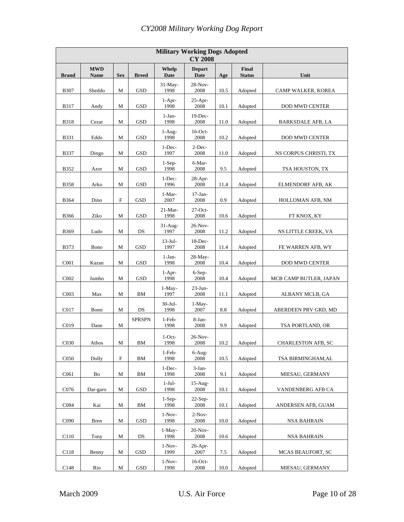|                  | <b>Military Working Dogs Adopted</b><br><b>CY 2008</b> |             |               |                   |                              |      |                        |                        |  |  |  |  |  |
|------------------|--------------------------------------------------------|-------------|---------------|-------------------|------------------------------|------|------------------------|------------------------|--|--|--|--|--|
| <b>Brand</b>     | <b>MWD</b><br><b>Name</b>                              | <b>Sex</b>  | <b>Breed</b>  | Whelp<br>Date     | <b>Depart</b><br><b>Date</b> | Age  | Final<br><b>Status</b> | Unit                   |  |  |  |  |  |
| <b>B307</b>      | Sheddo                                                 | M           | GSD           | $31-May-$<br>1998 | 28-Nov-<br>2008              | 10.5 | Adopted                | CAMP WALKER, KOREA     |  |  |  |  |  |
| <b>B317</b>      | Andy                                                   | M           | <b>GSD</b>    | $1-Apr-$<br>1998  | $25-Apr-$<br>2008            | 10.1 | Adopted                | DOD MWD CENTER         |  |  |  |  |  |
| <b>B318</b>      | Cezar                                                  | M           | <b>GSD</b>    | $1-Jan-$<br>1998  | $19$ -Dec-<br>2008           | 11.0 | Adopted                | BARKSDALE AFB, LA      |  |  |  |  |  |
| <b>B331</b>      | Eddo                                                   | М           | <b>GSD</b>    | $1-Aug-$<br>1998  | $16$ -Oct-<br>2008           | 10.2 | Adopted                | DOD MWD CENTER         |  |  |  |  |  |
| <b>B337</b>      | Dingo                                                  | M           | <b>GSD</b>    | 1-Dec-<br>1997    | $2$ -Dec-<br>2008            | 11.0 | Adopted                | NS CORPUS CHRISTI, TX  |  |  |  |  |  |
| <b>B352</b>      | Azor                                                   | M           | <b>GSD</b>    | $1-Sep-$<br>1998  | 6-Mar-<br>2008               | 9.5  | Adopted                | TSA HOUSTON, TX        |  |  |  |  |  |
| <b>B358</b>      | Arko                                                   | М           | <b>GSD</b>    | $1$ -Dec-<br>1996 | $28-Apr-$<br>2008            | 11.4 | Adopted                | ELMENDORF AFB, AK      |  |  |  |  |  |
| <b>B364</b>      | Dino                                                   | F           | <b>GSD</b>    | 1-Mar-<br>2007    | $17-Ian-$<br>2008            | 0.9  | Adopted                | HOLLOMAN AFB, NM       |  |  |  |  |  |
| <b>B366</b>      | Ziko                                                   | М           | <b>GSD</b>    | $21-Mar-$<br>1998 | $27$ -Oct-<br>2008           | 10.6 | Adopted                | FT KNOX, KY            |  |  |  |  |  |
| <b>B369</b>      | Ludo                                                   | М           | DS            | $31-Aug-$<br>1997 | 26-Nov-<br>2008              | 11.2 | Adopted                | NS LITTLE CREEK, VA    |  |  |  |  |  |
| <b>B373</b>      | Bono                                                   | М           | <b>GSD</b>    | $13-Jul-$<br>1997 | $18$ -Dec-<br>2008           | 11.4 | Adopted                | FE WARREN AFB, WY      |  |  |  |  |  |
| C <sub>001</sub> | Kazan                                                  | M           | <b>GSD</b>    | $1-Jan-$<br>1998  | $28-May-$<br>2008            | 10.4 | Adopted                | DOD MWD CENTER         |  |  |  |  |  |
| C002             | Jumbo                                                  | M           | <b>GSD</b>    | $1-Apr-$<br>1998  | 6-Sep-<br>2008               | 10.4 | Adopted                | MCB CAMP BUTLER, JAPAN |  |  |  |  |  |
| C003             | Max                                                    | М           | <b>BM</b>     | 1-May-<br>1997    | $23$ -Jun-<br>2008           | 11.1 | Adopted                | ALBANY MCLB, GA        |  |  |  |  |  |
| C017             | Bonn                                                   | М           | DS            | 30-Jul-<br>1998   | $1-May-$<br>2007             | 8.8  | Adopted                | ABERDEEN PRV GRD, MD   |  |  |  |  |  |
| C019             | Dane                                                   | M           | <b>SPRSPN</b> | 1-Feb-<br>1998    | 8-Jan-<br>2008               | 9.9  | Adopted                | TSA PORTLAND, OR       |  |  |  |  |  |
| C <sub>030</sub> | Athos                                                  | $\mathbf M$ | ${\rm BM}$    | $1-Oct-$<br>1998  | 26-Nov-<br>2008              | 10.2 | Adopted                | CHARLESTON AFB, SC     |  |  |  |  |  |
| C <sub>050</sub> | Dolly                                                  | F           | ΒM            | 1-Feb-<br>1998    | $6-Aug-$<br>2008             | 10.5 | Adopted                | TSA BIRMINGHAM,AL      |  |  |  |  |  |
| C061             | Bo                                                     | M           | ΒM            | $1-Dec-$<br>1998  | $3-Jan-$<br>2008             | 9.1  | Adopted                | MIESAU, GERMANY        |  |  |  |  |  |
| C076             | Dar-garo                                               | M           | <b>GSD</b>    | $1-Jul-$<br>1998  | $15-Au$ g-<br>2008           | 10.1 | Adopted                | VANDENBERG AFB CA      |  |  |  |  |  |
| C084             | Kai                                                    | M           | ΒM            | $1-Sep-$<br>1998  | $22-Sep-$<br>2008            | 10.1 | Adopted                | ANDERSEN AFB, GUAM     |  |  |  |  |  |
| C090             | <b>Bren</b>                                            | М           | <b>GSD</b>    | $1-Nov-$<br>1998  | $2-Nov-$<br>2008             | 10.0 | Adopted                | NSA BAHRAIN            |  |  |  |  |  |
| C110             | Tony                                                   | M           | DS            | $1-May-$<br>1998  | $20$ -Nov-<br>2008           | 10.6 | Adopted                | NSA BAHRAIN            |  |  |  |  |  |
| C118             | Benny                                                  | M           | <b>GSD</b>    | $1-Nov-$<br>1999  | $26$ -Apr-<br>2007           | 7.5  | Adopted                | MCAS BEAUFORT, SC      |  |  |  |  |  |
| C148             | Rio                                                    | M           | <b>GSD</b>    | $1-Nov-$<br>1998  | $16$ -Oct-<br>2008           | 10.0 | Adopted                | MIESAU, GERMANY        |  |  |  |  |  |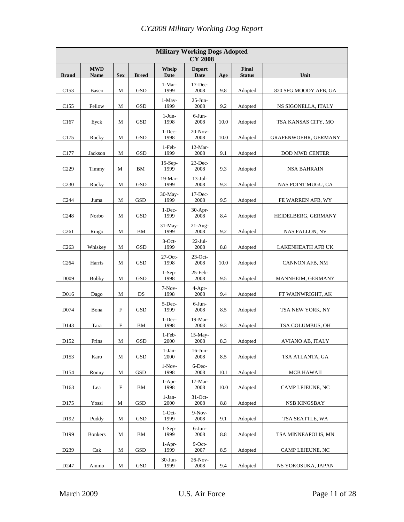|                  | <b>Military Working Dogs Adopted</b><br><b>CY 2008</b> |                           |              |                    |                       |      |                        |                             |  |  |  |  |  |
|------------------|--------------------------------------------------------|---------------------------|--------------|--------------------|-----------------------|------|------------------------|-----------------------------|--|--|--|--|--|
| <b>Brand</b>     | <b>MWD</b><br><b>Name</b>                              | <b>Sex</b>                | <b>Breed</b> | Whelp<br>Date      | <b>Depart</b><br>Date | Age  | Final<br><b>Status</b> | Unit                        |  |  |  |  |  |
| C <sub>153</sub> | Basco                                                  | M                         | GSD          | 1-Mar-<br>1999     | $17$ -Dec-<br>2008    | 9.8  | Adopted                | 820 SFG MOODY AFB, GA       |  |  |  |  |  |
| C155             | Fellow                                                 | M                         | GSD          | 1-May-<br>1999     | $25$ -Jun-<br>2008    | 9.2  | Adopted                | NS SIGONELLA, ITALY         |  |  |  |  |  |
| C167             | Eyck                                                   | M                         | <b>GSD</b>   | $1-J$ un-<br>1998  | 6-Jun-<br>2008        | 10.0 | Adopted                | TSA KANSAS CITY, MO         |  |  |  |  |  |
| C175             | Rocky                                                  | М                         | <b>GSD</b>   | 1-Dec-<br>1998     | 20-Nov-<br>2008       | 10.0 | Adopted                | <b>GRAFENWOEHR, GERMANY</b> |  |  |  |  |  |
| C177             | Jackson                                                | М                         | <b>GSD</b>   | 1-Feb-<br>1999     | $12-Mar-$<br>2008     | 9.1  | Adopted                | DOD MWD CENTER              |  |  |  |  |  |
| C <sub>229</sub> | Timmy                                                  | М                         | <b>BM</b>    | $15-Sep-$<br>1999  | $23$ -Dec-<br>2008    | 9.3  | Adopted                | <b>NSA BAHRAIN</b>          |  |  |  |  |  |
| C <sub>230</sub> | Rocky                                                  | M                         | <b>GSD</b>   | $19-Mar-$<br>1999  | $13-Jul-$<br>2008     | 9.3  | Adopted                | NAS POINT MUGU, CA          |  |  |  |  |  |
| C <sub>244</sub> | Juma                                                   | М                         | GSD          | $30-May-$<br>1999  | $17$ -Dec-<br>2008    | 9.5  | Adopted                | FE WARREN AFB, WY           |  |  |  |  |  |
| C <sub>248</sub> | Norbo                                                  | М                         | <b>GSD</b>   | $1-Dec-$<br>1999   | $30-Apr-$<br>2008     | 8.4  | Adopted                | HEIDELBERG, GERMANY         |  |  |  |  |  |
| C <sub>261</sub> | Ringo                                                  | М                         | <b>BM</b>    | $31-May-$<br>1999  | $21-Aug-$<br>2008     | 9.2  | Adopted                | NAS FALLON, NV              |  |  |  |  |  |
| C <sub>263</sub> | Whiskey                                                | М                         | <b>GSD</b>   | $3-Oct-$<br>1999   | $22-Jul-$<br>2008     | 8.8  | Adopted                | LAKENHEATH AFB UK           |  |  |  |  |  |
| C <sub>264</sub> | Harris                                                 | М                         | <b>GSD</b>   | $27$ -Oct-<br>1998 | $23$ -Oct-<br>2008    | 10.0 | Adopted                | CANNON AFB, NM              |  |  |  |  |  |
| D <sub>009</sub> | <b>Bobby</b>                                           | M                         | <b>GSD</b>   | $1-Sep-$<br>1998   | $25$ -Feb-<br>2008    | 9.5  | Adopted                | MANNHEIM, GERMANY           |  |  |  |  |  |
| D <sub>016</sub> | Dago                                                   | M                         | DS           | $7-Nov-$<br>1998   | $4-Apr-$<br>2008      | 9.4  | Adopted                | FT WAINWRIGHT, AK           |  |  |  |  |  |
| D074             | Bona                                                   | F                         | <b>GSD</b>   | 5-Dec-<br>1999     | $6$ -Jun-<br>2008     | 8.5  | Adopted                | TSA NEW YORK, NY            |  |  |  |  |  |
| D143             | Tara                                                   | $\boldsymbol{\mathrm{F}}$ | <b>BM</b>    | $1$ -Dec-<br>1998  | $19-Mar-$<br>2008     | 9.3  | Adopted                | TSA COLUMBUS, OH            |  |  |  |  |  |
| D <sub>152</sub> | Prins                                                  | M                         | <b>GSD</b>   | 1-Feb-<br>2000     | $15-May-$<br>2008     | 83   | Adopted                | AVIANO AB. ITALY            |  |  |  |  |  |
| D153             | Karo                                                   | M                         | <b>GSD</b>   | $1-Jan-$<br>2000   | $16$ -Jun-<br>2008    | 8.5  | Adopted                | TSA ATLANTA, GA             |  |  |  |  |  |
| D <sub>154</sub> | Ronny                                                  | M                         | GSD          | $1-Nov-$<br>1998   | 6-Dec-<br>2008        | 10.1 | Adopted                | MCB HAWAII                  |  |  |  |  |  |
| D <sub>163</sub> | Lea                                                    | F                         | ΒM           | $1-Apr-$<br>1998   | $17-Mar-$<br>2008     | 10.0 | Adopted                | CAMP LEJEUNE, NC            |  |  |  |  |  |
| D <sub>175</sub> | Yossi                                                  | $\mathbf M$               | <b>GSD</b>   | $1-Jan-$<br>2000   | $31-Oct$<br>2008      | 8.8  | Adopted                | <b>NSB KINGSBAY</b>         |  |  |  |  |  |
| D <sub>192</sub> | Puddy                                                  | M                         | GSD          | $1$ -Oct-<br>1999  | $9-Nov-$<br>2008      | 9.1  | Adopted                | TSA SEATTLE, WA             |  |  |  |  |  |
| D199             | <b>Bonkers</b>                                         | M                         | BM           | $1-Sep-$<br>1999   | $6$ -Jun-<br>2008     | 8.8  | Adopted                | TSA MINNEAPOLIS, MN         |  |  |  |  |  |
| D <sub>239</sub> | Cak                                                    | M                         | GSD          | $1-Apr-$<br>1999   | 9-Oct-<br>2007        | 8.5  | Adopted                | CAMP LEJEUNE, NC            |  |  |  |  |  |
| D247             | Ammo                                                   | M                         | <b>GSD</b>   | 30-Jun-<br>1999    | 26-Nov-<br>2008       | 9.4  | Adopted                | NS YOKOSUKA, JAPAN          |  |  |  |  |  |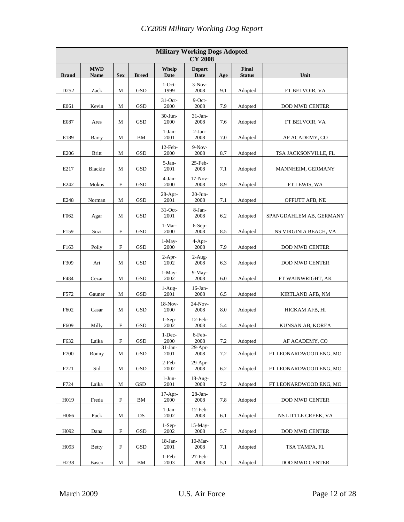|                   | <b>Military Working Dogs Adopted</b><br><b>CY 2008</b> |             |              |                    |                       |     |                        |                         |  |  |  |  |  |
|-------------------|--------------------------------------------------------|-------------|--------------|--------------------|-----------------------|-----|------------------------|-------------------------|--|--|--|--|--|
| <b>Brand</b>      | <b>MWD</b><br>Name                                     | <b>Sex</b>  | <b>Breed</b> | Whelp<br>Date      | <b>Depart</b><br>Date | Age | Final<br><b>Status</b> | Unit                    |  |  |  |  |  |
| D <sub>252</sub>  | Zack                                                   | M           | GSD          | $1$ -Oct-<br>1999  | $3-Nov-$<br>2008      | 9.1 | Adopted                | FT BELVOIR, VA          |  |  |  |  |  |
| E061              | Kevin                                                  | M           | <b>GSD</b>   | $31$ -Oct-<br>2000 | $9$ -Oct-<br>2008     | 7.9 | Adopted                | DOD MWD CENTER          |  |  |  |  |  |
| E087              | Ares                                                   | M           | <b>GSD</b>   | 30-Jun-<br>2000    | $31-Ian-$<br>2008     | 7.6 | Adopted                | FT BELVOIR, VA          |  |  |  |  |  |
| E189              | Barry                                                  | М           | BM           | $1-Jan-$<br>2001   | $2-Jan-$<br>2008      | 7.0 | Adopted                | AF ACADEMY, CO          |  |  |  |  |  |
| E206              | Britt                                                  | M           | <b>GSD</b>   | $12$ -Feb-<br>2000 | $9-Nov-$<br>2008      | 8.7 | Adopted                | TSA JACKSONVILLE, FL    |  |  |  |  |  |
| E217              | Blackie                                                | M           | <b>GSD</b>   | 5-Jan-<br>2001     | 25-Feb-<br>2008       | 7.1 | Adopted                | MANNHEIM, GERMANY       |  |  |  |  |  |
| E242              | Mokus                                                  | $\mathbf F$ | <b>GSD</b>   | 4-Jan-<br>2000     | $17-Nov-$<br>2008     | 8.9 | Adopted                | FT LEWIS, WA            |  |  |  |  |  |
| E248              | Norman                                                 | М           | <b>GSD</b>   | $28-Apr-$<br>2001  | $20$ -Jun-<br>2008    | 7.1 | Adopted                | OFFUTT AFB, NE          |  |  |  |  |  |
| F062              | Agar                                                   | М           | <b>GSD</b>   | $31-Oct$ -<br>2001 | 8-Jan-<br>2008        | 6.2 | Adopted                | SPANGDAHLEM AB, GERMANY |  |  |  |  |  |
| F159              | Suzi                                                   | F           | <b>GSD</b>   | 1-Mar-<br>2000     | 6-Sep-<br>2008        | 8.5 | Adopted                | NS VIRGINIA BEACH, VA   |  |  |  |  |  |
| F163              | Polly                                                  | F           | <b>GSD</b>   | 1-May-<br>2000     | $4-Apr-$<br>2008      | 7.9 | Adopted                | DOD MWD CENTER          |  |  |  |  |  |
| F309              | Art                                                    | M           | <b>GSD</b>   | $2-Apr-$<br>2002   | $2-Aug-$<br>2008      | 6.3 | Adopted                | DOD MWD CENTER          |  |  |  |  |  |
| F484              | Cezar                                                  | M           | <b>GSD</b>   | 1-May-<br>2002     | $9-May-$<br>2008      | 6.0 | Adopted                | FT WAINWRIGHT, AK       |  |  |  |  |  |
| F572              | Gauner                                                 | M           | <b>GSD</b>   | $1-Aug-$<br>2001   | $16$ -Jan-<br>2008    | 6.5 | Adopted                | KIRTLAND AFB, NM        |  |  |  |  |  |
| F602              | Casar                                                  | M           | <b>GSD</b>   | $18-Nov-$<br>2000  | $24-Nov-$<br>2008     | 8.0 | Adopted                | HICKAM AFB, HI          |  |  |  |  |  |
| F609              | Milly                                                  | F           | <b>GSD</b>   | $1-Sep-$<br>2002   | $12$ -Feb-<br>2008    | 5.4 | Adopted                | KUNSAN AB, KOREA        |  |  |  |  |  |
| F632              | Laika                                                  | F           | GSD          | $1-Dec-$<br>2000   | 6-Feb-<br>2008        | 7.2 | Adopted                | AF ACADEMY, CO          |  |  |  |  |  |
| F700              | Ronny                                                  | M           | GSD          | $31-Jan-$<br>2001  | $29$ -Apr-<br>2008    | 7.2 | Adopted                | FT LEONARDWOOD ENG, MO  |  |  |  |  |  |
| F721              | Sid                                                    | M           | <b>GSD</b>   | 2-Feb-<br>2002     | $29-Apr-$<br>2008     | 6.2 | Adopted                | FT LEONARDWOOD ENG, MO  |  |  |  |  |  |
| F724              | Laika                                                  | M           | GSD          | $1-J$ un-<br>2001  | $18-Aug-$<br>2008     | 7.2 | Adopted                | FT LEONARDWOOD ENG, MO  |  |  |  |  |  |
| H <sub>0</sub> 19 | Freda                                                  | F           | ΒM           | $17-Apr-$<br>2000  | $28-Ian-$<br>2008     | 7.8 | Adopted                | DOD MWD CENTER          |  |  |  |  |  |
| H066              | Puck                                                   | M           | DS           | $1-Jan-$<br>2002   | $12$ -Feb-<br>2008    | 6.1 | Adopted                | NS LITTLE CREEK, VA     |  |  |  |  |  |
| H <sub>092</sub>  | Dana                                                   | F           | GSD          | $1-Sep-$<br>2002   | $15-May-$<br>2008     | 5.7 | Adopted                | <b>DOD MWD CENTER</b>   |  |  |  |  |  |
| H <sub>093</sub>  | <b>Betty</b>                                           | F           | GSD          | $18$ -Jan-<br>2001 | $10-Mar-$<br>2008     | 7.1 | Adopted                | TSA TAMPA, FL           |  |  |  |  |  |
| H <sub>2</sub> 38 | Basco                                                  | M           | BM           | 1-Feb-<br>2003     | $27$ -Feb-<br>2008    | 5.1 | Adopted                | DOD MWD CENTER          |  |  |  |  |  |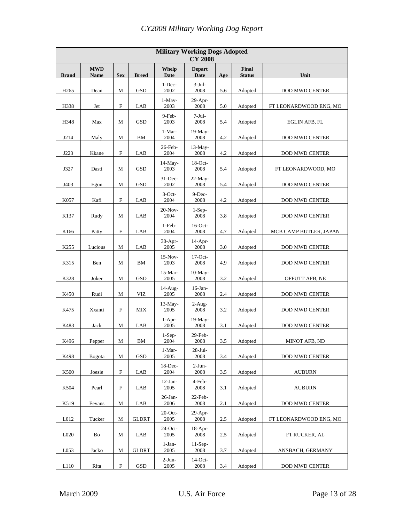|                  | <b>Military Working Dogs Adopted</b><br><b>CY 2008</b> |                           |              |                    |                       |     |                        |                        |  |  |  |  |  |
|------------------|--------------------------------------------------------|---------------------------|--------------|--------------------|-----------------------|-----|------------------------|------------------------|--|--|--|--|--|
| <b>Brand</b>     | <b>MWD</b><br><b>Name</b>                              | <b>Sex</b>                | <b>Breed</b> | Whelp<br>Date      | <b>Depart</b><br>Date | Age | Final<br><b>Status</b> | Unit                   |  |  |  |  |  |
| H <sub>265</sub> | Dean                                                   | M                         | GSD          | 1-Dec-<br>2002     | $3-Jul-$<br>2008      | 5.6 | Adopted                | <b>DOD MWD CENTER</b>  |  |  |  |  |  |
| H338             | Jet                                                    | $\boldsymbol{\mathrm{F}}$ | LAB          | $1-May-$<br>2003   | $29-Apr-$<br>2008     | 5.0 | Adopted                | FT LEONARDWOOD ENG, MO |  |  |  |  |  |
| H348             | Max                                                    | M                         | <b>GSD</b>   | 9-Feb-<br>2003     | $7-Jul-$<br>2008      | 5.4 | Adopted                | EGLIN AFB, FL          |  |  |  |  |  |
| J214             | Maly                                                   | М                         | BM           | 1-Mar-<br>2004     | 19-May-<br>2008       | 4.2 | Adopted                | DOD MWD CENTER         |  |  |  |  |  |
| J223             | Kkane                                                  | $\mathbf F$               | LAB          | $26$ -Feb-<br>2004 | $13-May-$<br>2008     | 4.2 | Adopted                | DOD MWD CENTER         |  |  |  |  |  |
| J327             | Dasti                                                  | M                         | <b>GSD</b>   | $14-May-$<br>2003  | 18-Oct-<br>2008       | 5.4 | Adopted                | FT LEONARDWOOD, MO     |  |  |  |  |  |
| J403             | Egon                                                   | М                         | <b>GSD</b>   | $31$ -Dec-<br>2002 | $22-May-$<br>2008     | 5.4 | Adopted                | DOD MWD CENTER         |  |  |  |  |  |
| K057             | Kafi                                                   | F                         | LAB          | $3-Oct-$<br>2004   | 9-Dec-<br>2008        | 4.2 | Adopted                | DOD MWD CENTER         |  |  |  |  |  |
| K137             | Rudy                                                   | М                         | LAB          | $20-Nov-$<br>2004  | $1-Sep-$<br>2008      | 3.8 | Adopted                | DOD MWD CENTER         |  |  |  |  |  |
| K166             | Patty                                                  | $\boldsymbol{\mathrm{F}}$ | LAB          | 1-Feb-<br>2004     | $16$ -Oct-<br>2008    | 4.7 | Adopted                | MCB CAMP BUTLER, JAPAN |  |  |  |  |  |
| K <sub>255</sub> | Lucious                                                | M                         | LAB          | $30-Apr-$<br>2005  | $14$ -Apr-<br>2008    | 3.0 | Adopted                | DOD MWD CENTER         |  |  |  |  |  |
| K315             | Ben                                                    | M                         | BM           | $15-Nov-$<br>2003  | $17-Oct-$<br>2008     | 4.9 | Adopted                | DOD MWD CENTER         |  |  |  |  |  |
| K328             | Joker                                                  | M                         | <b>GSD</b>   | $15-Mar-$<br>2005  | $10-May-$<br>2008     | 3.2 | Adopted                | OFFUTT AFB, NE         |  |  |  |  |  |
| K450             | Rudi                                                   | М                         | VIZ          | $14-Aug-$<br>2005  | $16$ -Jan-<br>2008    | 2.4 | Adopted                | DOD MWD CENTER         |  |  |  |  |  |
| K475             | Xxanti                                                 | $\boldsymbol{\mathrm{F}}$ | <b>MIX</b>   | $13-May-$<br>2005  | $2-Aug-$<br>2008      | 3.2 | Adopted                | DOD MWD CENTER         |  |  |  |  |  |
| K483             | Jack                                                   | M                         | LAB          | $1-Apr-$<br>2005   | $19-May-$<br>2008     | 3.1 | Adopted                | <b>DOD MWD CENTER</b>  |  |  |  |  |  |
| K496             | Penner                                                 | M                         | <b>BM</b>    | $1-Sep-$<br>2004   | $29$ -Feb-<br>2008    | 3.5 | Adopted                | MINOT AFR ND           |  |  |  |  |  |
| K498             | Bogota                                                 | M                         | <b>GSD</b>   | 1-Mar-<br>2005     | 28-Jul-<br>2008       | 3.4 | Adopted                | <b>DOD MWD CENTER</b>  |  |  |  |  |  |
| K500             | Joesie                                                 | F                         | LAB          | 18-Dec-<br>2004    | $2-J$ un-<br>2008     | 3.5 | Adopted                | <b>AUBURN</b>          |  |  |  |  |  |
| K504             | Pearl                                                  | F                         | LAB          | $12-Ian-$<br>2005  | 4-Feb-<br>2008        | 3.1 | Adopted                | AUBURN                 |  |  |  |  |  |
| K519             | Eevans                                                 | M                         | LAB          | $26$ -Jan-<br>2006 | $22$ -Feb-<br>2008    | 2.1 | Adopted                | DOD MWD CENTER         |  |  |  |  |  |
| L012             | Tucker                                                 | M                         | <b>GLDRT</b> | $20$ -Oct-<br>2005 | $29-Apr-$<br>2008     | 2.5 | Adopted                | FT LEONARDWOOD ENG, MO |  |  |  |  |  |
| L020             | Bo                                                     | M                         | LAB          | $24$ -Oct-<br>2005 | $18-Apr-$<br>2008     | 2.5 | Adopted                | FT RUCKER, AL          |  |  |  |  |  |
| L053             | Jacko                                                  | M                         | <b>GLDRT</b> | $1-Jan-$<br>2005   | $11-Sep-$<br>2008     | 3.7 | Adopted                | ANSBACH, GERMANY       |  |  |  |  |  |
| L <sub>110</sub> | Rita                                                   | $_{\rm F}$                | <b>GSD</b>   | $2-J$ un-<br>2005  | $14$ -Oct-<br>2008    | 3.4 | Adopted                | DOD MWD CENTER         |  |  |  |  |  |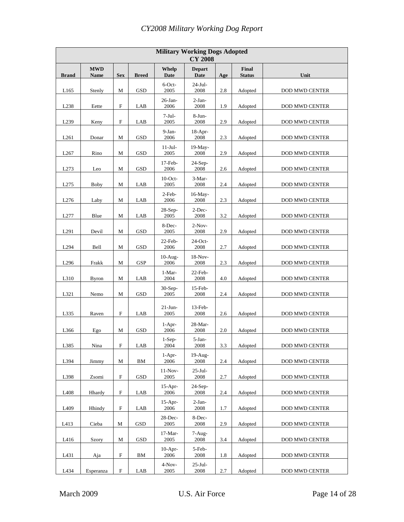|                  | <b>Military Working Dogs Adopted</b><br><b>CY 2008</b> |                           |              |                    |                       |     |                        |                       |  |  |  |  |  |
|------------------|--------------------------------------------------------|---------------------------|--------------|--------------------|-----------------------|-----|------------------------|-----------------------|--|--|--|--|--|
| <b>Brand</b>     | <b>MWD</b><br><b>Name</b>                              | <b>Sex</b>                | <b>Breed</b> | Whelp<br>Date      | <b>Depart</b><br>Date | Age | Final<br><b>Status</b> | Unit                  |  |  |  |  |  |
| L <sub>165</sub> | Stenly                                                 | M                         | GSD          | 6-Oct-<br>2005     | $24-Jul-$<br>2008     | 2.8 | Adopted                | <b>DOD MWD CENTER</b> |  |  |  |  |  |
| L <sub>238</sub> | Eette                                                  | $\mathbf F$               | LAB          | $26$ -Jan-<br>2006 | $2-Jan-$<br>2008      | 1.9 | Adopted                | DOD MWD CENTER        |  |  |  |  |  |
| L <sub>239</sub> | Keny                                                   | $\boldsymbol{\mathrm{F}}$ | LAB          | $7-Jul-$<br>2005   | 8-Jun-<br>2008        | 2.9 | Adopted                | <b>DOD MWD CENTER</b> |  |  |  |  |  |
| L261             | Donar                                                  | M                         | <b>GSD</b>   | 9-Jan-<br>2006     | $18-Apr-$<br>2008     | 2.3 | Adopted                | DOD MWD CENTER        |  |  |  |  |  |
| L <sub>267</sub> | Rino                                                   | М                         | <b>GSD</b>   | $11-Jul-$<br>2005  | 19-May-<br>2008       | 2.9 | Adopted                | DOD MWD CENTER        |  |  |  |  |  |
| L273             | Leo                                                    | М                         | <b>GSD</b>   | $17$ -Feb-<br>2006 | $24-Sep-$<br>2008     | 2.6 | Adopted                | DOD MWD CENTER        |  |  |  |  |  |
| L <sub>275</sub> | <b>Boby</b>                                            | M                         | LAB          | $10$ -Oct-<br>2005 | 3-Mar-<br>2008        | 2.4 | Adopted                | <b>DOD MWD CENTER</b> |  |  |  |  |  |
| L <sub>276</sub> | Laby                                                   | М                         | LAB          | 2-Feb-<br>2006     | $16$ -May-<br>2008    | 2.3 | Adopted                | DOD MWD CENTER        |  |  |  |  |  |
| L277             | Blue                                                   | M                         | LAB          | $28-Sep-$<br>2005  | 2-Dec-<br>2008        | 3.2 | Adopted                | DOD MWD CENTER        |  |  |  |  |  |
| L291             | Devil                                                  | М                         | <b>GSD</b>   | 8-Dec-<br>2005     | $2-Nov-$<br>2008      | 2.9 | Adopted                | DOD MWD CENTER        |  |  |  |  |  |
| L294             | <b>Bell</b>                                            | М                         | <b>GSD</b>   | 22-Feb-<br>2006    | 24-Oct-<br>2008       | 2.7 | Adopted                | DOD MWD CENTER        |  |  |  |  |  |
| L296             | Frakk                                                  | М                         | <b>GSP</b>   | $10-Aug-$<br>2006  | $18-Nov-$<br>2008     | 2.3 | Adopted                | DOD MWD CENTER        |  |  |  |  |  |
| L310             | <b>Byron</b>                                           | M                         | LAB          | 1-Mar-<br>2004     | $22$ -Feb-<br>2008    | 4.0 | Adopted                | DOD MWD CENTER        |  |  |  |  |  |
| L321             | Nemo                                                   | M                         | <b>GSD</b>   | $30-Sep-$<br>2005  | $15$ -Feb-<br>2008    | 2.4 | Adopted                | DOD MWD CENTER        |  |  |  |  |  |
| L335             | Raven                                                  | $\boldsymbol{\mathrm{F}}$ | LAB          | $21-J$ un-<br>2005 | $13$ -Feb-<br>2008    | 2.6 | Adopted                | <b>DOD MWD CENTER</b> |  |  |  |  |  |
| L366             | Ego                                                    | М                         | <b>GSD</b>   | $1-Apr-$<br>2006   | 28-Mar-<br>2008       | 2.0 | Adopted                | <b>DOD MWD CENTER</b> |  |  |  |  |  |
| L385             | Nina                                                   | F                         | LAB          | $1-Sep-$<br>2004   | 5-Jan-<br>2008        | 3.3 | Adopted                | <b>DOD MWD CENTER</b> |  |  |  |  |  |
| L394             | Jimmy                                                  | M                         | ΒM           | $1-Apr-$<br>2006   | 19-Aug-<br>2008       | 2.4 | Adopted                | <b>DOD MWD CENTER</b> |  |  |  |  |  |
| L398             | Zsomi                                                  | $\boldsymbol{\mathrm{F}}$ | <b>GSD</b>   | $11-Nov-$<br>2005  | $25-Jul-$<br>2008     | 2.7 | Adopted                | DOD MWD CENTER        |  |  |  |  |  |
| L <sub>408</sub> | Hhardy                                                 | $\boldsymbol{\mathrm{F}}$ | LAB          | $15-Apr-$<br>2006  | $24-Sep-$<br>2008     | 2.4 | Adopted                | <b>DOD MWD CENTER</b> |  |  |  |  |  |
| L <sub>409</sub> | Hhindy                                                 | F                         | LAB          | $15-Apr-$<br>2006  | $2-Jan-$<br>2008      | 1.7 | Adopted                | DOD MWD CENTER        |  |  |  |  |  |
| L413             | Cieba                                                  | М                         | <b>GSD</b>   | $28$ -Dec-<br>2005 | 8-Dec-<br>2008        | 2.9 | Adopted                | <b>DOD MWD CENTER</b> |  |  |  |  |  |
| L416             | Szory                                                  | M                         | <b>GSD</b>   | $17-Mar-$<br>2005  | $7-Aug-$<br>2008      | 3.4 | Adopted                | DOD MWD CENTER        |  |  |  |  |  |
| L431             | Aja                                                    | $\boldsymbol{\mathrm{F}}$ | ΒM           | $10-Apr-$<br>2006  | 5-Feb-<br>2008        | 1.8 | Adopted                | DOD MWD CENTER        |  |  |  |  |  |
| L434             | Esperanza                                              | $\mathbf F$               | LAB          | $4-Nov-$<br>2005   | $25-Jul-$<br>2008     | 2.7 | Adopted                | <b>DOD MWD CENTER</b> |  |  |  |  |  |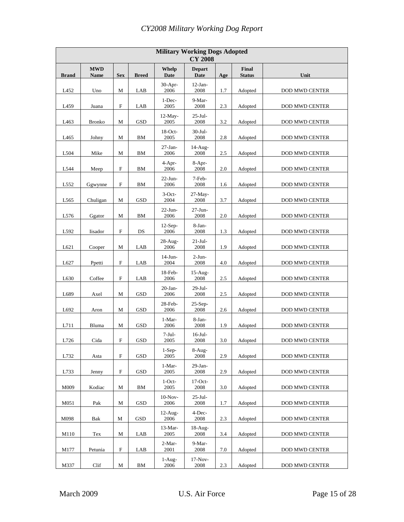| <b>Military Working Dogs Adopted</b><br><b>CY 2008</b> |                           |                           |              |                    |                       |     |                        |                       |  |  |  |
|--------------------------------------------------------|---------------------------|---------------------------|--------------|--------------------|-----------------------|-----|------------------------|-----------------------|--|--|--|
| <b>Brand</b>                                           | <b>MWD</b><br><b>Name</b> | <b>Sex</b>                | <b>Breed</b> | Whelp<br>Date      | <b>Depart</b><br>Date | Age | Final<br><b>Status</b> | Unit                  |  |  |  |
| L452                                                   | Uno                       | M                         | LAB          | $30-Apr-$<br>2006  | $12-Ian-$<br>2008     | 1.7 | Adopted                | DOD MWD CENTER        |  |  |  |
| L <sub>459</sub>                                       | Juana                     | F                         | LAB          | 1-Dec-<br>2005     | 9-Mar-<br>2008        | 2.3 | Adopted                | DOD MWD CENTER        |  |  |  |
| L <sub>463</sub>                                       | <b>Bronko</b>             | M                         | <b>GSD</b>   | $12-May-$<br>2005  | $25-Jul-$<br>2008     | 3.2 | Adopted                | DOD MWD CENTER        |  |  |  |
| L <sub>465</sub>                                       | Johny                     | М                         | BM           | $18$ -Oct-<br>2005 | $30-Jul-$<br>2008     | 2.8 | Adopted                | DOD MWD CENTER        |  |  |  |
| L504                                                   | Mike                      | М                         | BM           | $27-Ian-$<br>2006  | 14-Aug-<br>2008       | 2.5 | Adopted                | DOD MWD CENTER        |  |  |  |
| L544                                                   | Meep                      | $\mathbf F$               | BM           | $4-Apr-$<br>2006   | $8-Apr-$<br>2008      | 2.0 | Adopted                | DOD MWD CENTER        |  |  |  |
| L552                                                   | Ggwynne                   | F                         | BM           | $22$ -Jun-<br>2006 | 7-Feb-<br>2008        | 1.6 | Adopted                | <b>DOD MWD CENTER</b> |  |  |  |
| L <sub>565</sub>                                       | Chuligan                  | М                         | <b>GSD</b>   | $3-Oct-$<br>2004   | $27-May-$<br>2008     | 3.7 | Adopted                | DOD MWD CENTER        |  |  |  |
| L576                                                   | Ggator                    | М                         | ${\rm BM}$   | $22$ -Jun-<br>2006 | $27 - Jun -$<br>2008  | 2.0 | Adopted                | DOD MWD CENTER        |  |  |  |
| L592                                                   | Iisador                   | F                         | DS           | $12-Sep-$<br>2006  | 8-Jan-<br>2008        | 1.3 | Adopted                | DOD MWD CENTER        |  |  |  |
| L621                                                   | Cooper                    | М                         | LAB          | 28-Aug-<br>2006    | $21-Jul-$<br>2008     | 1.9 | Adopted                | DOD MWD CENTER        |  |  |  |
| L627                                                   | Ppetti                    | $\boldsymbol{\mathrm{F}}$ | LAB          | $14$ -Jun-<br>2004 | $2-J$ un-<br>2008     | 4.0 | Adopted                | DOD MWD CENTER        |  |  |  |
| L630                                                   | Coffee                    | $_{\rm F}$                | LAB          | 18-Feb-<br>2006    | $15-Aug-$<br>2008     | 2.5 | Adopted                | DOD MWD CENTER        |  |  |  |
| L689                                                   | Axel                      | M                         | <b>GSD</b>   | $20-Ian-$<br>2006  | 29-Jul-<br>2008       | 2.5 | Adopted                | DOD MWD CENTER        |  |  |  |
| L692                                                   | Aron                      | M                         | <b>GSD</b>   | 28-Feb-<br>2006    | $25-Sep-$<br>2008     | 2.6 | Adopted                | DOD MWD CENTER        |  |  |  |
| L711                                                   | Bluma                     | М                         | <b>GSD</b>   | 1-Mar-<br>2006     | $8-Ian-$<br>2008      | 1.9 | Adopted                | DOD MWD CENTER        |  |  |  |
| L726                                                   | Cida                      | F                         | <b>GSD</b>   | $7-Jul-$<br>2005   | $16$ -Jul-<br>2008    | 3.0 | Adopted                | <b>DOD MWD CENTER</b> |  |  |  |
| L732                                                   | Asta                      | $\boldsymbol{\mathrm{F}}$ | GSD          | $1-Sep-$<br>2005   | $8-Aug-$<br>2008      | 2.9 | Adopted                | <b>DOD MWD CENTER</b> |  |  |  |
| L733                                                   | Jenny                     | F                         | <b>GSD</b>   | 1-Mar-<br>2005     | $29-Ian-$<br>2008     | 2.9 | Adopted                | <b>DOD MWD CENTER</b> |  |  |  |
| M009                                                   | Kodiac                    | М                         | BМ           | $1$ -Oct-<br>2005  | $17-Oct-$<br>2008     | 3.0 | Adopted                | DOD MWD CENTER        |  |  |  |
| M051                                                   | Pak                       | M                         | GSD          | $10-Nov-$<br>2006  | $25-Jul-$<br>2008     | 1.7 | Adopted                | <b>DOD MWD CENTER</b> |  |  |  |
| M098                                                   | Bak                       | М                         | <b>GSD</b>   | $12-Aug-$<br>2006  | 4-Dec-<br>2008        | 2.3 | Adopted                | <b>DOD MWD CENTER</b> |  |  |  |
| M110                                                   | Tex                       | М                         | LAB          | $13-Mar-$<br>2005  | $18-Aug-$<br>2008     | 3.4 | Adopted                | DOD MWD CENTER        |  |  |  |
| M177                                                   | Petunia                   | F                         | LAB          | 2-Mar-<br>2001     | 9-Mar-<br>2008        | 7.0 | Adopted                | DOD MWD CENTER        |  |  |  |
| M337                                                   | Clif                      | M                         | ${\rm BM}$   | $1-Aug-$<br>2006   | $17-Nov-$<br>2008     | 2.3 | Adopted                | <b>DOD MWD CENTER</b> |  |  |  |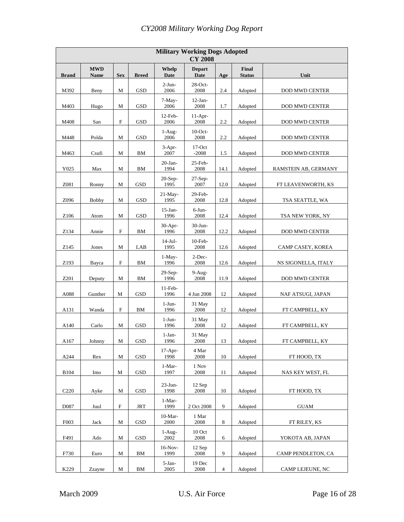|                  | <b>Military Working Dogs Adopted</b><br><b>CY 2008</b> |                           |              |                    |                       |                |                        |                       |  |  |  |  |  |
|------------------|--------------------------------------------------------|---------------------------|--------------|--------------------|-----------------------|----------------|------------------------|-----------------------|--|--|--|--|--|
| <b>Brand</b>     | <b>MWD</b><br><b>Name</b>                              | <b>Sex</b>                | <b>Breed</b> | Whelp<br>Date      | <b>Depart</b><br>Date | Age            | Final<br><b>Status</b> | Unit                  |  |  |  |  |  |
| M392             | Beny                                                   | M                         | GSD          | $2-J$ un-<br>2006  | $28$ -Oct-<br>2008    | 2.4            | Adopted                | <b>DOD MWD CENTER</b> |  |  |  |  |  |
| M403             | Hugo                                                   | M                         | <b>GSD</b>   | 7-May-<br>2006     | $12-Ian-$<br>2008     | 1.7            | Adopted                | DOD MWD CENTER        |  |  |  |  |  |
| M408             | San                                                    | $\boldsymbol{\mathrm{F}}$ | <b>GSD</b>   | $12$ -Feb-<br>2006 | $11-Apr-$<br>2008     | 2.2            | Adopted                | DOD MWD CENTER        |  |  |  |  |  |
| M448             | Polda                                                  | M                         | <b>GSD</b>   | $1-Aug-$<br>2006   | $10$ -Oct-<br>2008    | 2.2            | Adopted                | DOD MWD CENTER        |  |  |  |  |  |
| M463             | Csufi                                                  | М                         | BM           | $3-Apr-$<br>2007   | $17-Oct$<br>$-2008$   | 1.5            | Adopted                | DOD MWD CENTER        |  |  |  |  |  |
| Y025             | Max                                                    | М                         | <b>BM</b>    | $20$ -Jan-<br>1994 | $25$ -Feb-<br>2008    | 14.1           | Adopted                | RAMSTEIN AB, GERMANY  |  |  |  |  |  |
| Z081             | Ronny                                                  | М                         | <b>GSD</b>   | $20-Sep-$<br>1995  | $27-Sep-$<br>2007     | 12.0           | Adopted                | FT LEAVENWORTH, KS    |  |  |  |  |  |
| Z096             | <b>Bobby</b>                                           | М                         | <b>GSD</b>   | $21-May-$<br>1995  | 29-Feb-<br>2008       | 12.8           | Adopted                | TSA SEATTLE, WA       |  |  |  |  |  |
| Z106             | Atom                                                   | М                         | <b>GSD</b>   | $15$ -Jan-<br>1996 | $6$ -Jun-<br>2008     | 12.4           | Adopted                | TSA NEW YORK, NY      |  |  |  |  |  |
| Z134             | Annie                                                  | F                         | <b>BM</b>    | $30-Apr-$<br>1996  | 30-Jun-<br>2008       | 12.2           | Adopted                | <b>DOD MWD CENTER</b> |  |  |  |  |  |
| Z145             | Jones                                                  | М                         | LAB          | $14-Jul-$<br>1995  | $10$ -Feb-<br>2008    | 12.6           | Adopted                | CAMP CASEY, KOREA     |  |  |  |  |  |
| Z193             | Bayca                                                  | F                         | BM           | 1-May-<br>1996     | $2$ -Dec-<br>2008     | 12.6           | Adopted                | NS SIGONELLA, ITALY   |  |  |  |  |  |
| Z201             | Deputy                                                 | M                         | BM           | $29-Sep-$<br>1996  | $9-Aug-$<br>2008      | 11.9           | Adopted                | <b>DOD MWD CENTER</b> |  |  |  |  |  |
| A088             | Gunther                                                | M                         | <b>GSD</b>   | 11-Feb-<br>1996    | 4 Jun 2008            | 12             | Adopted                | NAF ATSUGI, JAPAN     |  |  |  |  |  |
| A131             | Wanda                                                  | F                         | BM           | $1-J$ un-<br>1996  | 31 May<br>2008        | 12             | Adopted                | FT CAMPBELL, KY       |  |  |  |  |  |
| A140             | Carlo                                                  | М                         | <b>GSD</b>   | $1-J$ un-<br>1996  | 31 May<br>2008        | 12             | Adopted                | FT CAMPBELL, KY       |  |  |  |  |  |
| A167             | Johnny                                                 | М                         | <b>GSD</b>   | 1-Jan-<br>1996     | 31 May<br>2008        | 13             | Adopted                | FT CAMPRELL KY        |  |  |  |  |  |
| A244             | Rex                                                    | M                         | <b>GSD</b>   | $17-Apr-$<br>1998  | 4 Mar<br>2008         | 10             | Adopted                | FT HOOD, TX           |  |  |  |  |  |
| <b>B104</b>      | Imo                                                    | М                         | <b>GSD</b>   | 1-Mar-<br>1997     | 1 Nov<br>2008         | 11             | Adopted                | NAS KEY WEST, FL      |  |  |  |  |  |
| C <sub>220</sub> | Ayke                                                   | M                         | <b>GSD</b>   | $23$ -Jun-<br>1998 | 12 Sep<br>2008        | 10             | Adopted                | FT HOOD, TX           |  |  |  |  |  |
| D087             | Juul                                                   | $\boldsymbol{\mathrm{F}}$ | <b>JRT</b>   | 1-Mar-<br>1999     | 2 Oct 2008            | 9              | Adopted                | <b>GUAM</b>           |  |  |  |  |  |
| F003             | Jack                                                   | М                         | GSD          | $10-Mar-$<br>2000  | 1 Mar<br>2008         | $\,8\,$        | Adopted                | FT RILEY, KS          |  |  |  |  |  |
| F491             | Ado                                                    | М                         | <b>GSD</b>   | $1-Aug-$<br>2002   | 10 Oct<br>2008        | 6              | Adopted                | YOKOTA AB, JAPAN      |  |  |  |  |  |
| F730             | Euro                                                   | M                         | BM           | $16-Nov-$<br>1999  | 12 Sep<br>2008        | 9              | Adopted                | CAMP PENDLETON, CA    |  |  |  |  |  |
| K229             | Zzayne                                                 | M                         | ${\rm BM}$   | 5-Jan-<br>2005     | 19 Dec<br>2008        | $\overline{4}$ | Adopted                | CAMP LEJEUNE, NC      |  |  |  |  |  |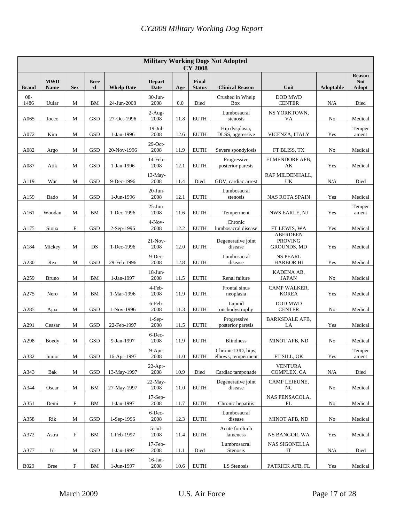|                | <b>Military Working Dogs Not Adopted</b><br><b>CY 2008</b> |                           |                  |                   |                              |      |                        |                                          |                                                         |           |                                      |
|----------------|------------------------------------------------------------|---------------------------|------------------|-------------------|------------------------------|------|------------------------|------------------------------------------|---------------------------------------------------------|-----------|--------------------------------------|
| <b>Brand</b>   | <b>MWD</b><br>Name                                         | <b>Sex</b>                | <b>Bree</b><br>d | <b>Whelp Date</b> | <b>Depart</b><br><b>Date</b> | Age  | Final<br><b>Status</b> | <b>Clinical Reason</b>                   | Unit                                                    | Adoptable | <b>Reason</b><br><b>Not</b><br>Adopt |
| $08 -$<br>1486 | Uular                                                      | М                         | ΒM               | 24-Jun-2008       | 30-Jun-<br>2008              | 0.0  | Died                   | Crushed in Whelp<br><b>Box</b>           | <b>DOD MWD</b><br><b>CENTER</b>                         | N/A       | Died                                 |
| A065           | Jocco                                                      | М                         | <b>GSD</b>       | 27-Oct-1996       | $2-Aug-$<br>2008             | 11.8 | <b>EUTH</b>            | Lumbosacral<br>stenosis                  | NS YORKTOWN,<br>VA                                      | No        | Medical                              |
| A072           | Kim                                                        | М                         | <b>GSD</b>       | 1-Jan-1996        | $19-Jul-$<br>2008            | 12.6 | <b>EUTH</b>            | Hip dysplasia,<br>DLSS, aggressive       | VICENZA, ITALY                                          | Yes       | Temper<br>ament                      |
| A082           | Argo                                                       | M                         | <b>GSD</b>       | 20-Nov-1996       | $29$ -Oct-<br>2008           | 11.9 | <b>EUTH</b>            | Severe spondylosis                       | FT BLISS, TX                                            | No        | Medical                              |
| A087           | Atik                                                       | M                         | GSD              | 1-Jan-1996        | 14-Feb-<br>2008              | 12.1 | <b>EUTH</b>            | Progressive<br>posterior paresis         | ELMENDORF AFB,<br>АK                                    | Yes       | Medical                              |
| A119           | War                                                        | М                         | GSD              | 9-Dec-1996        | 13-May-<br>2008              | 11.4 | Died                   | GDV, cardiac arrest                      | RAF MILDENHALL,<br>UK                                   | N/A       | Died                                 |
| A159           | Bado                                                       | M                         | <b>GSD</b>       | 1-Jun-1996        | $20$ -Jun-<br>2008           | 12.1 | <b>EUTH</b>            | Lumbosacral<br>stenosis                  | <b>NAS ROTA SPAIN</b>                                   | Yes       | Medical                              |
| A161           | Woodan                                                     | M                         | BM               | 1-Dec-1996        | $25$ -Jun-<br>2008           | 11.6 | <b>EUTH</b>            | Temperment                               | NWS EARLE, NJ                                           | Yes       | Temper<br>ament                      |
| A175           | Sioux                                                      | ${\bf F}$                 | <b>GSD</b>       | 2-Sep-1996        | 4-Nov-<br>2008               | 12.2 | <b>EUTH</b>            | Chronic<br>lumbosacral disease           | FT LEWIS, WA                                            | Yes       | Medical                              |
| A184           | Mickey                                                     | М                         | DS               | 1-Dec-1996        | $21-Nov-$<br>2008            | 12.0 | <b>EUTH</b>            | Degenerative joint<br>disease            | <b>ABERDEEN</b><br><b>PROVING</b><br><b>GROUNDS, MD</b> | Yes       | Medical                              |
| A230           | Rex                                                        | М                         | GSD              | 29-Feb-1996       | 9-Dec-<br>2008               | 12.8 | <b>EUTH</b>            | Lumbosacral<br>disease                   | <b>NS PEARL</b><br><b>HARBOR HI</b>                     | Yes       | Medical                              |
| A259           | <b>Bruno</b>                                               | М                         | BM               | 1-Jan-1997        | $18$ -Jun-<br>2008           | 11.5 | <b>EUTH</b>            | Renal failure                            | KADENA AB,<br><b>JAPAN</b>                              | No        | Medical                              |
| A275           | Nero                                                       | M                         | ΒM               | 1-Mar-1996        | 4-Feb-<br>2008               | 11.9 | <b>EUTH</b>            | Frontal sinus<br>neoplasia               | CAMP WALKER,<br><b>KOREA</b>                            | Yes       | Medical                              |
| A285           | Ajax                                                       | M                         | <b>GSD</b>       | 1-Nov-1996        | 6-Feb-<br>2008               | 11.3 | <b>EUTH</b>            | Lupoid<br>onchodystrophy                 | <b>DOD MWD</b><br><b>CENTER</b>                         | No        | Medical                              |
| A291           | Ceasar                                                     | М                         | <b>GSD</b>       | 22-Feb-1997       | $1-Sep-$<br>2008             | 11.5 | <b>EUTH</b>            | Progressive<br>posterior paresis         | <b>BARKSDALE AFB,</b><br>LA                             | Yes       | Medical                              |
| A298           | Boedy                                                      | М                         | <b>GSD</b>       | 9-Jan-1997        | 6-Dec-<br>2008               | 11.9 | <b>EUTH</b>            | <b>Blindness</b>                         | MINOT AFB, ND                                           | No        | Medical                              |
| A332           | Junior                                                     | M                         | GSD              | 16-Apr-1997       | 9-Apr-<br>2008               | 11.0 | <b>EUTH</b>            | Chronic DJD, hips,<br>elbows; temperment | FT SILL, OK                                             | Yes       | $\mbox{Temperature}$<br>ament        |
| A343           | Bak                                                        | M                         | <b>GSD</b>       | 13-May-1997       | $22$ -Apr-<br>2008           | 10.9 | Died                   | Cardiac tamponade                        | <b>VENTURA</b><br>COMPLEX, CA                           | N/A       | Died                                 |
| A344           | Oscar                                                      | M                         | ΒM               | 27-May-1997       | $22-May-$<br>2008            | 11.0 | EUTH                   | Degenerative joint<br>disease            | CAMP LEJEUNE,<br>NC                                     | No        | Medical                              |
| A351           | Demi                                                       | $\boldsymbol{\mathrm{F}}$ | BM               | 1-Jan-1997        | $17-Sep-$<br>2008            | 11.7 | <b>EUTH</b>            | Chronic hepatitis                        | NAS PENSACOLA,<br>FL                                    | No        | Medical                              |
| A358           | Rik                                                        | M                         | <b>GSD</b>       | 1-Sep-1996        | 6-Dec-<br>2008               | 12.3 | <b>EUTH</b>            | Lumbosacral<br>disease                   | MINOT AFB, ND                                           | No        | Medical                              |
| A372           | Astra                                                      | ${\bf F}$                 | ΒM               | 1-Feb-1997        | $5-Jul-$<br>2008             | 11.4 | <b>EUTH</b>            | Acute forelimb<br>lameness               | NS BANGOR, WA                                           | Yes       | Medical                              |
| A377           | Irl                                                        | M                         | GSD              | 1-Jan-1997        | 17-Feb-<br>2008              | 11.1 | Died                   | Lumbrosacral<br>Stenosis                 | NAS SIGONELLA<br>IT                                     | N/A       | Died                                 |
| B029           | <b>Bree</b>                                                | ${\bf F}$                 | <b>BM</b>        | 1-Jun-1997        | $16$ -Jan-<br>2008           | 10.6 | <b>EUTH</b>            | LS Stenosis                              | PATRICK AFB, FL                                         | Yes       | Medical                              |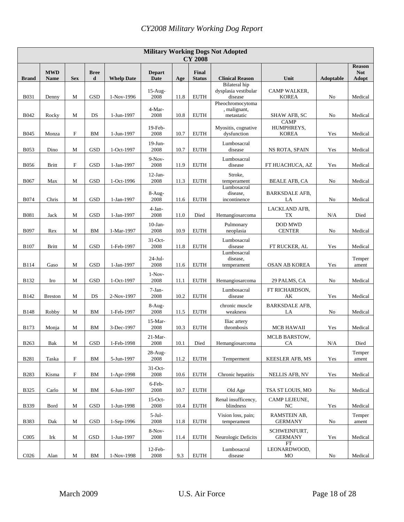|                  | <b>Military Working Dogs Not Adopted</b><br><b>CY 2008</b> |             |                  |                   |                        |      |                        |                                                  |                                           |           |                                             |
|------------------|------------------------------------------------------------|-------------|------------------|-------------------|------------------------|------|------------------------|--------------------------------------------------|-------------------------------------------|-----------|---------------------------------------------|
| <b>Brand</b>     | <b>MWD</b><br><b>Name</b>                                  | <b>Sex</b>  | <b>Bree</b><br>d | <b>Whelp Date</b> | <b>Depart</b><br>Date  | Age  | Final<br><b>Status</b> | <b>Clinical Reason</b>                           | Unit                                      | Adoptable | <b>Reason</b><br><b>Not</b><br><b>Adopt</b> |
| <b>B031</b>      | Denny                                                      | M           | GSD              | 1-Nov-1996        | $15-Au$ g-<br>2008     | 11.8 | <b>EUTH</b>            | Bilateral hip<br>dysplasia vestibular<br>disease | CAMP WALKER,<br><b>KOREA</b>              | No        | Medical                                     |
| <b>B042</b>      | Rocky                                                      | М           | DS               | 1-Jun-1997        | 4-Mar-<br>2008         | 10.8 | <b>EUTH</b>            | Pheochromocytoma<br>, malignant,<br>metastatic   | SHAW AFB, SC                              | No        | Medical                                     |
| <b>B045</b>      | Monza                                                      | $\mathbf F$ | <b>BM</b>        | 1-Jun-1997        | 19-Feb-<br>2008        | 10.7 | <b>EUTH</b>            | Myositis, cognative<br>dysfunction               | <b>CAMP</b><br>HUMPHREYS,<br><b>KOREA</b> | Yes       | Medical                                     |
| <b>B053</b>      | Dino                                                       | М           | <b>GSD</b>       | 1-Oct-1997        | $19-J$ un-<br>2008     | 10.7 | <b>EUTH</b>            | Lumbosacral<br>disease                           | NS ROTA, SPAIN                            | Yes       | Medical                                     |
| <b>B056</b>      | Britt                                                      | $_{\rm F}$  | <b>GSD</b>       | 1-Jan-1997        | $9-Nov-$<br>2008       | 11.9 | <b>EUTH</b>            | Lumbosacral<br>disease                           | FT HUACHUCA, AZ                           | Yes       | Medical                                     |
| <b>B067</b>      | Max                                                        | M           | <b>GSD</b>       | 1-Oct-1996        | $12-Ian-$<br>2008      | 11.3 | <b>EUTH</b>            | Stroke,<br>temperament                           | <b>BEALE AFB, CA</b>                      | No        | Medical                                     |
| <b>B074</b>      | Chris                                                      | M           | <b>GSD</b>       | 1-Jan-1997        | 8-Aug-<br>2008         | 11.6 | <b>EUTH</b>            | Lumbosacral<br>disease.<br>incontinence          | <b>BARKSDALE AFB,</b><br>LA               | No        | Medical                                     |
| <b>B081</b>      | Jack                                                       | M           | <b>GSD</b>       | 1-Jan-1997        | 4-Jan-<br>2008         | 11.0 | Died                   | Hemangiosarcoma                                  | LACKLAND AFB,<br>TX                       | N/A       | Died                                        |
| <b>B097</b>      | Rex                                                        | М           | <b>BM</b>        | 1-Mar-1997        | $10-Ian-$<br>2008      | 10.9 | <b>EUTH</b>            | Pulmonary<br>neoplasia                           | <b>DOD MWD</b><br><b>CENTER</b>           | No        | Medical                                     |
| <b>B107</b>      | Britt                                                      | М           | <b>GSD</b>       | 1-Feb-1997        | $31-Oct$ -<br>2008     | 11.8 | <b>EUTH</b>            | Lumbosacral<br>disease                           | FT RUCKER, AL                             | Yes       | Medical                                     |
| <b>B114</b>      | Gaso                                                       | М           | GSD              | 1-Jan-1997        | 24-Jul-<br>2008        | 11.6 | <b>EUTH</b>            | Lumbosacral<br>disease,<br>temperament           | <b>OSAN AB KOREA</b>                      | Yes       | Temper<br>ament                             |
| B132             | Iro                                                        | М           | <b>GSD</b>       | 1-Oct-1997        | $1-Nov-$<br>2008       | 11.1 | <b>EUTH</b>            | Hemangiosarcoma                                  | 29 PALMS, CA                              | No        | Medical                                     |
| B142             | <b>Breston</b>                                             | М           | DS               | 2-Nov-1997        | 7-Jan-<br>2008         | 10.2 | <b>EUTH</b>            | Lumbosacral<br>disease                           | FT RICHARDSON,<br>AK                      | Yes       | Medical                                     |
| <b>B148</b>      | Robby                                                      | M           | BМ               | 1-Feb-1997        | $8-Aug-$<br>2008       | 11.5 | <b>EUTH</b>            | chronic muscle<br>weakness                       | <b>BARKSDALE AFB,</b><br>LA               | No        | Medical                                     |
| <b>B173</b>      | Monja                                                      | М           | BM               | 3-Dec-1997        | $15-Mar-$<br>2008      | 10.3 | <b>EUTH</b>            | Iliac artery<br>thrombosis                       | MCB HAWAII                                | Yes       | Medical                                     |
| <b>B263</b>      | Bak                                                        | М           | GSD              | 1-Feb-1998        | $21-Mar-$<br>2008      | 10.1 | Died                   | Hemangiosarcoma                                  | <b>MCLB BARSTOW,</b><br>CA                | N/A       | Died                                        |
| <b>B281</b>      | Taska                                                      | ${\bf F}$   | BM               | 5-Jun-1997        | 28-Aug-<br>2008        | 11.2 | <b>EUTH</b>            | Temperment                                       | <b>KEESLER AFB, MS</b>                    | Yes       | Temper<br>ament                             |
| <b>B283</b>      | Kisma                                                      | $\mathbf F$ | <b>BM</b>        | 1-Apr-1998        | $31-Oct$ -<br>$2008\,$ | 10.6 | <b>EUTH</b>            | Chronic hepatitis                                | <b>NELLIS AFB, NV</b>                     | Yes       | Medical                                     |
| <b>B325</b>      | Carlo                                                      | M           | <b>BM</b>        | 6-Jun-1997        | 6-Feb-<br>2008         | 10.7 | <b>EUTH</b>            | Old Age                                          | TSA ST LOUIS, MO                          | No        | Medical                                     |
| <b>B339</b>      | Bord                                                       | М           | GSD              | 1-Jun-1998        | $15$ -Oct-<br>2008     | 10.4 | <b>EUTH</b>            | Renal insufficency,<br>blindness                 | CAMP LEJEUNE,<br>NC                       | Yes       | Medical                                     |
| <b>B383</b>      | Dak                                                        | М           | GSD              | 1-Sep-1996        | $5-Jul-$<br>2008       | 11.8 | <b>EUTH</b>            | Vision loss, pain;<br>temperament                | RAMSTEIN AB,<br><b>GERMANY</b>            | No        | Temper<br>ament                             |
| C <sub>005</sub> | Irk                                                        | М           | <b>GSD</b>       | 1-Jun-1997        | $8-Nov-$<br>2008       | 11.4 | <b>EUTH</b>            | Neurologic Deficits                              | SCHWEINFURT,<br><b>GERMANY</b>            | Yes       | Medical                                     |
| C <sub>026</sub> | Alan                                                       | M           | ${\rm BM}$       | 1-Nov-1998        | $12$ -Feb-<br>2008     | 9.3  | <b>EUTH</b>            | Lumbosacral<br>disease                           | <b>FT</b><br>LEONARDWOOD,<br>MO           | No        | Medical                                     |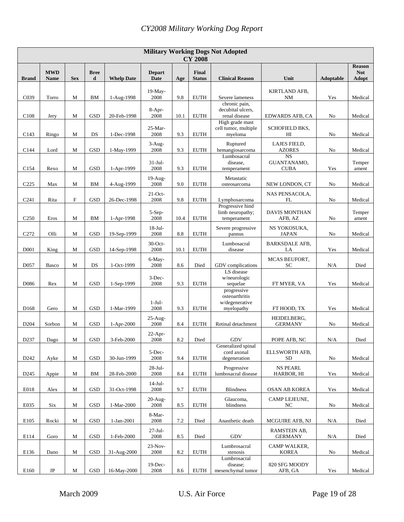|                  | <b>Military Working Dogs Not Adopted</b><br><b>CY 2008</b> |              |                  |                          |                              |      |                        |                                                       |                                         |                  |                                             |
|------------------|------------------------------------------------------------|--------------|------------------|--------------------------|------------------------------|------|------------------------|-------------------------------------------------------|-----------------------------------------|------------------|---------------------------------------------|
| <b>Brand</b>     | <b>MWD</b><br>Name                                         | <b>Sex</b>   | <b>Bree</b><br>d | <b>Whelp Date</b>        | <b>Depart</b><br><b>Date</b> | Age  | Final<br><b>Status</b> | <b>Clinical Reason</b>                                | Unit                                    | <b>Adoptable</b> | <b>Reason</b><br><b>Not</b><br><b>Adopt</b> |
| C039             | Torro                                                      | М            | ${\rm BM}$       | 1-Aug-1998               | 19-May-<br>2008              | 9.8  | <b>EUTH</b>            | Severe lameness                                       | KIRTLAND AFB,<br>NM                     | Yes              | Medical                                     |
| C <sub>108</sub> | Jery                                                       | M            | <b>GSD</b>       | 20-Feb-1998              | 8-Apr-<br>2008               | 10.1 | <b>EUTH</b>            | chronic pain,<br>decubital ulcers,<br>renal disease   | <b>EDWARDS AFB, CA</b>                  | No               | Medical                                     |
| C143             | Ringo                                                      | М            | DS               | 1-Dec-1998               | $25-Mar-$<br>2008            | 9.3  | <b>EUTH</b>            | High grade mast<br>cell tumor, multiple<br>myeloma    | SCHOFIELD BKS,<br>HI                    | No               | Medical                                     |
| C144             | Lord                                                       | М            | <b>GSD</b>       | 1-May-1999               | $3-Aug-$<br>2008             | 9.3  | <b>EUTH</b>            | Ruptured<br>hemangiosarcoma                           | LAJES FIELD,<br><b>AZORES</b>           | No               | Medical                                     |
| C154             | Rexo                                                       | M            | GSD              | 1-Apr-1999               | $31-Jul-$<br>2008            | 9.3  | <b>EUTH</b>            | Lumbosacral<br>disease,<br>temperament                | <b>NS</b><br>GUANTANAMO,<br><b>CUBA</b> | Yes              | Temper<br>ament                             |
| C <sub>225</sub> | Max                                                        | М            | <b>BM</b>        | 4-Aug-1999               | 19-Aug-<br>2008              | 9.0  | <b>EUTH</b>            | Metastatic<br>osteosarcoma                            | NEW LONDON, CT                          | No               | Medical                                     |
| C <sub>241</sub> | Rita                                                       | $\mathbf F$  | <b>GSD</b>       | 26-Dec-1998              | $21$ -Oct-<br>2008           | 9.8  | <b>EUTH</b>            | Lymphosarcoma                                         | NAS PENSACOLA,<br>FL                    | No               | Medical                                     |
| C <sub>250</sub> | Eros                                                       | М            | BM               | 1-Apr-1998               | 5-Sep-<br>2008               | 10.4 | <b>EUTH</b>            | Progressive hind<br>limb neuropathy;<br>temperament   | <b>DAVIS MONTHAN</b><br>AFB, AZ         | No               | Temper<br>ament                             |
| C <sub>272</sub> | Olli                                                       | M            | <b>GSD</b>       | 19-Sep-1999              | $18-Jul-$<br>2008            | 8.8  | <b>EUTH</b>            | Severe progressive<br>pannus                          | NS YOKOSUKA,<br>JAPAN                   | No               | Medical                                     |
| D <sub>001</sub> | King                                                       | M            | <b>GSD</b>       | 14-Sep-1998              | 30-Oct-<br>2008              | 10.1 | <b>EUTH</b>            | Lumbosacral<br>disease                                | <b>BARKSDALE AFB,</b><br>LA             | Yes              | Medical                                     |
| D <sub>057</sub> | Basco                                                      | М            | DS               | 1-Oct-1999               | 6-May-<br>2008               | 8.6  | Died                   | GDV complications                                     | MCAS BEUFORT,<br>SC                     | N/A              | Died                                        |
| D086             | Rex                                                        | M            | <b>GSD</b>       | 1-Sep-1999               | 3-Dec-<br>2008               | 9.3  | <b>EUTH</b>            | LS disease<br>w/neurologic<br>sequelae<br>progressive | FT MYER, VA                             | Yes              | Medical                                     |
| D168             | Gero                                                       | M            | <b>GSD</b>       | 1-Mar-1999               | $1-Jul-$<br>2008             | 9.3  | <b>EUTH</b>            | osteoarthritis<br>w/degenerative<br>myelopathy        | FT HOOD, TX                             | Yes              | Medical                                     |
| D204             | Sorbon                                                     | M            | <b>GSD</b>       | 1-Apr-2000               | $25-Aug-$<br>2008            | 8.4  | <b>EUTH</b>            | Retinal detachment                                    | HEIDELBERG,<br><b>GERMANY</b>           | No               | Medical                                     |
| D237             | Dago                                                       | M            | GSD              | 3-Feb-2000               | $22$ -Apr-<br>2008           | 8.2  | Died                   | GDV                                                   | POPE AFB, NC                            | N/A              | Died                                        |
| D <sub>242</sub> | Ayke                                                       | $\mathbf M$  | <b>GSD</b>       | 30-Jun-1999              | 5-Dec-<br>$2008\,$           | 9.4  | <b>EUTH</b>            | Generalized spinal<br>cord axonal<br>degeneration     | ELLSWORTH AFB,<br><b>SD</b>             | $\rm No$         | Medical                                     |
| D <sub>245</sub> | Appie                                                      | M            | ${\rm BM}$       | 28-Feb-2000              | $28-Jul-$<br>2008            | 8.4  | <b>EUTH</b>            | Progressive<br>lumbosacral disease                    | <b>NS PEARL</b><br>HARBOR, HI           | Yes              | Medical                                     |
| E018             | Alex                                                       | $\mathbf M$  | <b>GSD</b>       | 31-Oct-1998              | $14-Jul-$<br>$2008\,$        | 9.7  | <b>EUTH</b>            | <b>Blindness</b>                                      | OSAN AB KOREA                           | Yes              | Medical                                     |
| E035             |                                                            | $\mathbf M$  | <b>GSD</b>       |                          | $20-Aug-$<br>2008            | 8.5  | <b>EUTH</b>            | Glaucoma,                                             | CAMP LEJEUNE,                           |                  | Medical                                     |
| E105             | Six<br>Rocki                                               | M            | <b>GSD</b>       | 1-Mar-2000<br>1-Jan-2001 | 8-Mar-<br>2008               | 7.2  | Died                   | blindness<br>Anasthetic death                         | NC<br>MCGUIRE AFB, NJ                   | $\rm No$<br>N/A  | Died                                        |
| E114             | Goro                                                       | M            | <b>GSD</b>       | 1-Feb-2000               | $27-Jul-$<br>2008            | 8.5  | Died                   | GDV                                                   | RAMSTEIN AB,<br><b>GERMANY</b>          | N/A              | Died                                        |
| E136             | Dano                                                       | $\mathbf M$  | <b>GSD</b>       | 31-Aug-2000              | $23-Nov-$<br>$2008\,$        | 8.2  | <b>EUTH</b>            | Lumbrosacral<br>stenosis                              | CAMP WALKER,<br><b>KOREA</b>            | No               | Medical                                     |
| E160             | $\rm{JP}$                                                  | $\mathbf{M}$ | GSD              | 16-May-2000              | 19-Dec-<br>2008              | 8.6  | <b>EUTH</b>            | Lumbrosacral<br>disease;<br>mesenchymal tumor         | 820 SFG MOODY<br>AFB, GA                | Yes              | Medical                                     |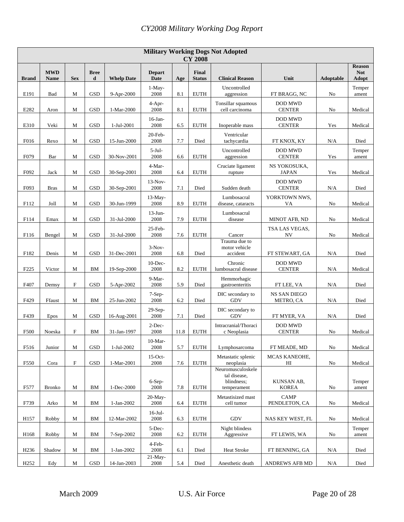|                  | <b>Military Working Dogs Not Adopted</b><br><b>CY 2008</b> |                           |                  |                   |                              |      |                               |                                                                |                                  |           |                                             |
|------------------|------------------------------------------------------------|---------------------------|------------------|-------------------|------------------------------|------|-------------------------------|----------------------------------------------------------------|----------------------------------|-----------|---------------------------------------------|
| <b>Brand</b>     | <b>MWD</b><br>Name                                         | <b>Sex</b>                | <b>Bree</b><br>d | <b>Whelp Date</b> | <b>Depart</b><br><b>Date</b> | Age  | <b>Final</b><br><b>Status</b> | <b>Clinical Reason</b>                                         | Unit                             | Adoptable | <b>Reason</b><br><b>Not</b><br><b>Adopt</b> |
| E191             | Bad                                                        | М                         | <b>GSD</b>       | 9-Apr-2000        | 1-May-<br>2008               | 8.1  | <b>EUTH</b>                   | Uncontrolled<br>aggression                                     | FT BRAGG, NC                     | No        | Temper<br>ament                             |
| E282             | Aron                                                       | M                         | <b>GSD</b>       | 1-Mar-2000        | 4-Apr-<br>2008               | 8.1  | <b>EUTH</b>                   | Tonsillar squamous<br>cell carcinoma                           | <b>DOD MWD</b><br><b>CENTER</b>  | No        | Medical                                     |
| E310             | Veki                                                       | М                         | <b>GSD</b>       | 1-Jul-2001        | $16$ -Jan-<br>2008           | 6.5  | <b>EUTH</b>                   | Inoperable mass                                                | <b>DOD MWD</b><br><b>CENTER</b>  | Yes       | Medical                                     |
| F016             | Rexo                                                       | М                         | <b>GSD</b>       | 15-Jun-2000       | 20-Feb-<br>2008              | 7.7  | Died                          | Ventricular<br>tachycardia                                     | FT KNOX, KY                      | N/A       | Died                                        |
| F <sub>079</sub> | Bar                                                        | M                         | <b>GSD</b>       | 30-Nov-2001       | $5-Jul-$<br>2008             | 6.6  | <b>EUTH</b>                   | Uncontrolled<br>aggression                                     | <b>DOD MWD</b><br><b>CENTER</b>  | Yes       | Temper<br>ament                             |
| F092             | Jack                                                       | M                         | <b>GSD</b>       | 30-Sep-2001       | 4-Mar-<br>2008               | 6.4  | <b>EUTH</b>                   | Cruciate ligament<br>rupture                                   | NS YOKOSUKA,<br><b>JAPAN</b>     | Yes       | Medical                                     |
| F093             | <b>Bras</b>                                                | M                         | <b>GSD</b>       | 30-Sep-2001       | $13-Nov-$<br>2008            | 7.1  | Died                          | Sudden death                                                   | <b>DOD MWD</b><br><b>CENTER</b>  | N/A       | Died                                        |
| F112             | Joll                                                       | M                         | GSD              | 30-Jun-1999       | $13-May-$<br>2008            | 8.9  | <b>EUTH</b>                   | Lumbosacral<br>disease, cataracts                              | YORKTOWN NWS,<br>VA              | No        | Medical                                     |
| F114             | Emax                                                       | М                         | GSD              | 31-Jul-2000       | $13$ -Jun-<br>2008           | 7.9  | <b>EUTH</b>                   | Lumbosacral<br>disease                                         | MINOT AFB, ND                    | No        | Medical                                     |
| F116             | Bengel                                                     | М                         | GSD              | 31-Jul-2000       | 25-Feb-<br>2008              | 7.6  | <b>EUTH</b>                   | Cancer                                                         | TSA LAS VEGAS,<br>NV             | No        | Medical                                     |
| F182             | Denis                                                      | М                         | <b>GSD</b>       | 31-Dec-2001       | $3-Nov-$<br>2008             | 6.8  | Died                          | Trauma due to<br>motor vehicle<br>accident                     | FT STEWART, GA                   | N/A       | Died                                        |
| F <sub>225</sub> | Victor                                                     | M                         | BM               | 19-Sep-2000       | $10$ -Dec-<br>2008           | 8.2  | <b>EUTH</b>                   | Chronic<br>lumbosacral disease                                 | DOD MWD<br><b>CENTER</b>         | N/A       | Medical                                     |
| F407             | Demsy                                                      | F                         | <b>GSD</b>       | 5-Apr-2002        | 9-Mar-<br>2008               | 5.9  | Died                          | Hemmorhagic<br>gastroenteritis                                 | FT LEE, VA                       | N/A       | Died                                        |
| F429             | Ffaust                                                     | $\mathbf M$               | ${\rm BM}$       | 25-Jun-2002       | $7-Sep-$<br>2008             | 6.2  | Died                          | DIC secondary to<br><b>GDV</b>                                 | <b>NS SAN DIEGO</b><br>METRO, CA | N/A       | Died                                        |
| F439             | Epos                                                       | М                         | <b>GSD</b>       | 16-Aug-2001       | $29-Sep-$<br>2008            | 7.1  | Died                          | DIC secondary to<br><b>GDV</b>                                 | FT MYER, VA                      | N/A       | Died                                        |
| F500             | Noeska                                                     | $\boldsymbol{\mathrm{F}}$ | BM               | 31-Jan-1997       | 2-Dec-<br>2008               | 11.8 | <b>EUTH</b>                   | Intracranial/Thoraci<br>c Neoplasia                            | <b>DOD MWD</b><br><b>CENTER</b>  | No        | Medical                                     |
| F516             | Junior                                                     | М                         | $_{\rm GSD}$     | 1-Jul-2002        | $10-Mar-$<br>2008            | 5.7  | <b>EUTH</b>                   | Lymphosarcoma                                                  | FT MEADE, MD                     | $\rm No$  | Medical                                     |
| F550             | Cora                                                       | $\mathbf F$               | GSD              | 1-Mar-2001        | $15$ -Oct-<br>$2008\,$       | 7.6  | <b>EUTH</b>                   | Metastatic splenic<br>neoplasia                                | MCAS KANEOHE,<br>HI              | No        | Medical                                     |
| F577             | <b>Bronko</b>                                              | $\mathbf M$               | ${\rm BM}$       | 1-Dec-2000        | $6-Sep-$<br>2008             | 7.8  | <b>EUTH</b>                   | Neuromusculoskele<br>tal disease,<br>blindness;<br>temperament | KUNSAN AB,<br><b>KOREA</b>       | No        | Temper<br>$\!$ ament                        |
| F739             | Arko                                                       | М                         | BM               | 1-Jan-2002        | 20-May-<br>2008              | 6.4  | <b>EUTH</b>                   | Metastisized mast<br>cell tumor                                | <b>CAMP</b><br>PENDLETON, CA     | No        | Medical                                     |
| H <sub>157</sub> | Robby                                                      | М                         | ${\rm BM}$       | 12-Mar-2002       | $16$ -Jul-<br>2008           | 6.3  | <b>EUTH</b>                   | GDV                                                            | NAS KEY WEST, FL                 | No        | Medical                                     |
| H168             | Robby                                                      | М                         | BM               | 7-Sep-2002        | 5-Dec-<br>$2008\,$           | 6.2  | <b>EUTH</b>                   | Night blindess<br>Aggressive                                   | FT LEWIS, WA                     | No        | Temper<br>ament                             |
| H <sub>236</sub> | Shadow                                                     | М                         | BM               | 1-Jan-2002        | 4-Feb-<br>2008               | 6.1  | Died                          | <b>Heat Stroke</b>                                             | FT BENNING, GA                   | N/A       | Died                                        |
| H <sub>252</sub> | Edy                                                        | M                         | GSD              | 14-Jan-2003       | $21-May-$<br>2008            | 5.4  | Died                          | Anesthetic death                                               | ANDREWS AFB MD                   | $\rm N/A$ | Died                                        |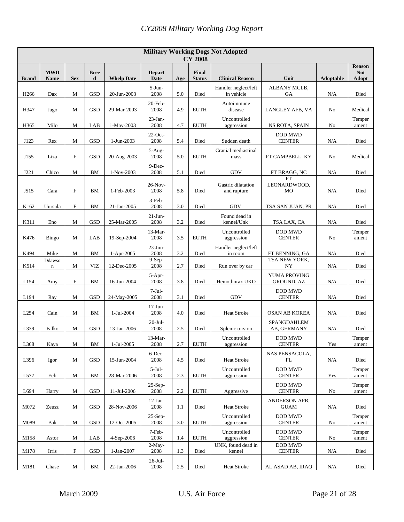|                  | <b>Military Working Dogs Not Adopted</b><br><b>CY 2008</b> |                           |                  |                   |                       |         |                               |                                    |                                 |           |                                      |
|------------------|------------------------------------------------------------|---------------------------|------------------|-------------------|-----------------------|---------|-------------------------------|------------------------------------|---------------------------------|-----------|--------------------------------------|
| <b>Brand</b>     | <b>MWD</b><br>Name                                         | <b>Sex</b>                | <b>Bree</b><br>d | <b>Whelp Date</b> | <b>Depart</b><br>Date | Age     | <b>Final</b><br><b>Status</b> | <b>Clinical Reason</b>             | Unit                            | Adoptable | <b>Reason</b><br><b>Not</b><br>Adopt |
| H <sub>266</sub> | Dax                                                        | М                         | <b>GSD</b>       | 20-Jun-2003       | 5-Jun-<br>2008        | 5.0     | Died                          | Handler neglect/left<br>in vehicle | ALBANY MCLB,<br><b>GA</b>       | N/A       | Died                                 |
| H347             | Jago                                                       | M                         | <b>GSD</b>       | 29-Mar-2003       | 20-Feb-<br>2008       | 4.9     | <b>EUTH</b>                   | Autoimmune<br>disease              | LANGLEY AFB, VA                 | No        | Medical                              |
| H365             | Milo                                                       | M                         | LAB              | 1-May-2003        | $23-Ian-$<br>2008     | 4.7     | <b>EUTH</b>                   | Uncontrolled<br>aggression         | NS ROTA, SPAIN                  | No        | Temper<br>ament                      |
| J123             | Rex                                                        | M                         | <b>GSD</b>       | 1-Jun-2003        | $22$ -Oct-<br>2008    | 5.4     | Died                          | Sudden death                       | <b>DOD MWD</b><br><b>CENTER</b> | N/A       | Died                                 |
| J155             | Liza                                                       | $\boldsymbol{\mathrm{F}}$ | GSD              | 20-Aug-2003       | 5-Aug-<br>2008        | 5.0     | <b>EUTH</b>                   | Cranial mediastinal<br>mass        | FT CAMPBELL, KY                 | No        | Medical                              |
| J221             | Chico                                                      | М                         | ${\rm BM}$       | 1-Nov-2003        | 9-Dec-<br>$2008\,$    | 5.1     | Died                          | GDV                                | FT BRAGG, NC                    | N/A       | Died                                 |
| J515             | Cara                                                       | $\boldsymbol{\mathrm{F}}$ | <b>BM</b>        | 1-Feb-2003        | $26-Nov-$<br>2008     | 5.8     | Died                          | Gastric dilatation<br>and rupture  | <b>FT</b><br>LEONARDWOOD,<br>MO | N/A       | Died                                 |
| K162             | Uursula                                                    | $\boldsymbol{\mathrm{F}}$ | <b>BM</b>        | 21-Jan-2005       | 3-Feb-<br>2008        | 3.0     | Died                          | <b>GDV</b>                         | TSA SAN JUAN, PR                | N/A       | Died                                 |
| K311             | Eno                                                        | M                         | GSD              | 25-Mar-2005       | $21-Jun-$<br>2008     | 3.2     | Died                          | Found dead in<br>kennel/Unk        | TSA LAX, CA                     | N/A       | Died                                 |
| K476             | Bingo                                                      | M                         | LAB              | 19-Sep-2004       | $13-Mar-$<br>2008     | 3.5     | <b>EUTH</b>                   | Uncontrolled<br>aggression         | <b>DOD MWD</b><br><b>CENTER</b> | No        | Temper<br>ament                      |
| K494             | Mike                                                       | M                         | BM               | 1-Apr-2005        | $23$ -Jun-<br>2008    | 3.2     | Died                          | Handler neglect/left<br>in room    | FT BENNING, GA                  | N/A       | Died                                 |
| K514             | Ddawso<br>$\mathbf n$                                      | M                         | <b>VIZ</b>       | 12-Dec-2005       | $9-Sep-$<br>2008      | 2.7     | Died                          | Run over by car                    | TSA NEW YORK,<br>ΝY             | N/A       | Died                                 |
| L154             | Amy                                                        | F                         | <b>BM</b>        | 16-Jun-2004       | 5-Apr-<br>2008        | 3.8     | Died                          | Hemothorax UKO                     | YUMA PROVING<br>GROUND, AZ      | N/A       | Died                                 |
| L194             | Ray                                                        | M                         | <b>GSD</b>       | 24-May-2005       | $7-Jul-$<br>2008      | 3.1     | Died                          | GDV                                | <b>DOD MWD</b><br><b>CENTER</b> | N/A       | Died                                 |
| L254             | Cain                                                       | М                         | BM               | 1-Jul-2004        | $17-J$ un-<br>2008    | 4.0     | Died                          | <b>Heat Stroke</b>                 | <b>OSAN AB KOREA</b>            | N/A       | Died                                 |
| L339             | Falko                                                      | М                         | <b>GSD</b>       | 13-Jan-2006       | $20-Jul-$<br>2008     | 2.5     | Died                          | Splenic torsion                    | SPANGDAHLEM<br>AB, GERMANY      | N/A       | Died                                 |
| L368             | Kaya                                                       | М                         | ΒM               | 1-Jul-2005        | $13-Mar-$<br>2008     | 2.7     | <b>EUTH</b>                   | Uncontrolled<br>aggression         | <b>DOD MWD</b><br><b>CENTER</b> | Yes       | Temper<br>ament                      |
| L396             | Igor                                                       | М                         | <b>GSD</b>       | 15-Jun-2004       | 6-Dec-<br>2008        | 4.5     | Died                          | <b>Heat Stroke</b>                 | NAS PENSACOLA,<br>FL            | N/A       | Died                                 |
| L577             | Eeli                                                       | М                         | ${\rm BM}$       | 28-Mar-2006       | $5-Jul-$<br>2008      | 2.3     | <b>EUTH</b>                   | Uncontrolled<br>aggression         | <b>DOD MWD</b><br><b>CENTER</b> | Yes       | Temper<br>ament                      |
| L694             | Harry                                                      | М                         | <b>GSD</b>       | 11-Jul-2006       | $25-Sep-$<br>2008     | 2.2     | <b>EUTH</b>                   | Aggressive                         | DOD MWD<br><b>CENTER</b>        | No        | Temper<br>ament                      |
| M072             | Zeusz                                                      | М                         | <b>GSD</b>       | 28-Nov-2006       | $12$ -Jan-<br>2008    | 1.1     | Died                          | <b>Heat Stroke</b>                 | ANDERSON AFB,<br><b>GUAM</b>    | N/A       | Died                                 |
| M089             | Bak                                                        | М                         | GSD              | 12-Oct-2005       | $25-Sep-$<br>2008     | 3.0     | EUTH                          | Uncontrolled<br>aggression         | <b>DOD MWD</b><br><b>CENTER</b> | No        | Temper<br>ament                      |
| M158             | Astor                                                      | М                         | LAB              | 4-Sep-2006        | 7-Feb-<br>2008        | 1.4     | EUTH                          | Uncontrolled<br>aggression         | DOD MWD<br><b>CENTER</b>        | No        | Temper<br>ament                      |
| M178             | Irris                                                      | F                         | GSD              | 1-Jan-2007        | $2-May-$<br>2008      | 1.3     | Died                          | UNK, found dead in<br>kennel       | DOD MWD<br><b>CENTER</b>        | N/A       | Died                                 |
| M181             | Chase                                                      | M                         | BM               | 22-Jan-2006       | $26$ -Jul-<br>2008    | $2.5\,$ | Died                          | <b>Heat Stroke</b>                 | AL ASAD AB, IRAQ                | N/A       | Died                                 |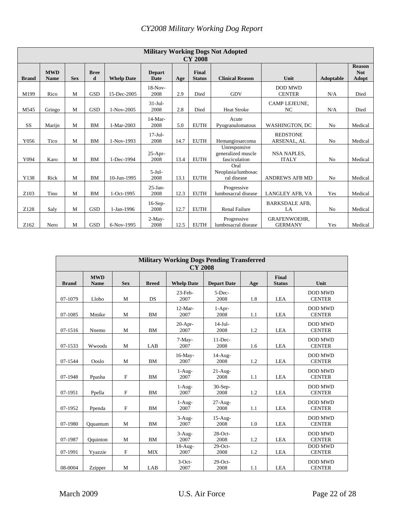|                  | <b>Military Working Dogs Not Adopted</b><br><b>CY 2008</b> |            |                  |                   |                       |      |                        |                                                     |                                       |                |                                      |
|------------------|------------------------------------------------------------|------------|------------------|-------------------|-----------------------|------|------------------------|-----------------------------------------------------|---------------------------------------|----------------|--------------------------------------|
| <b>Brand</b>     | <b>MWD</b><br>Name                                         | <b>Sex</b> | <b>Bree</b><br>d | <b>Whelp Date</b> | <b>Depart</b><br>Date | Age  | Final<br><b>Status</b> | <b>Clinical Reason</b>                              | Unit                                  | Adoptable      | <b>Reason</b><br><b>Not</b><br>Adopt |
| M199             | Rico                                                       | M          | <b>GSD</b>       | 15-Dec-2005       | $18-Nov-$<br>2008     | 2.9  | Died                   | <b>GDV</b>                                          | <b>DOD MWD</b><br><b>CENTER</b>       | N/A            | Died                                 |
| M545             | Gringo                                                     | M          | <b>GSD</b>       | $1-Nov-2005$      | $31-Jul-$<br>2008     | 2.8  | Died                   | <b>Heat Stroke</b>                                  | CAMP LEJEUNE,<br>NC                   | N/A            | Died                                 |
| <b>SS</b>        | Marijn                                                     | M          | <b>BM</b>        | 1-Mar-2003        | $14-Mar-$<br>2008     | 5.0  | <b>EUTH</b>            | Acute<br>Pyogranulomatous                           | WASHINGTON, DC                        | N <sub>0</sub> | Medical                              |
| Y056             | Tico                                                       | M          | <b>BM</b>        | 1-Nov-1993        | $17-Jul-$<br>2008     | 14.7 | <b>EUTH</b>            | Hemangiosarcoma                                     | <b>REDSTONE</b><br>ARSENAL, AL        | No             | Medical                              |
| Y094             | Karo                                                       | M          | <b>BM</b>        | 1-Dec-1994        | $25-Apr-$<br>2008     | 13.4 | <b>EUTH</b>            | Unresponsive<br>generalized muscle<br>fasciculation | <b>NSA NAPLES,</b><br><b>ITALY</b>    | N <sub>o</sub> | Medical                              |
| Y138             | Rick                                                       | M          | <b>BM</b>        | 10-Jun-1995       | $5-Jul-$<br>2008      | 13.1 | <b>EUTH</b>            | Oral<br>Neoplasia/lumbosac<br>ral disease           | <b>ANDREWS AFB MD</b>                 | N <sub>0</sub> | Medical                              |
| Z103             | Tino                                                       | M          | BM               | 1-Oct-1995        | $25-Ian-$<br>2008     | 12.3 | <b>EUTH</b>            | Progressive<br>lumbosacral disease                  | LANGLEY AFB, VA                       | Yes            | Medical                              |
| Z128             | Saly                                                       | M          | GSD              | 1-Jan-1996        | $16-Sep-$<br>2008     | 12.7 | <b>EUTH</b>            | <b>Renal Failure</b>                                | <b>BARKSDALE AFB.</b><br>LA           | N <sub>0</sub> | Medical                              |
| Z <sub>162</sub> | Nero                                                       | M          | GSD              | 6-Nov-1995        | 2-May-<br>2008        | 12.5 | <b>EUTH</b>            | Progressive<br>lumbosacral disease                  | <b>GRAFENWOEHR.</b><br><b>GERMANY</b> | Yes            | Medical                              |

|              | <b>Military Working Dogs Pending Transferred</b><br><b>CY 2008</b> |                           |              |                    |                    |     |                        |                                 |
|--------------|--------------------------------------------------------------------|---------------------------|--------------|--------------------|--------------------|-----|------------------------|---------------------------------|
| <b>Brand</b> | <b>MWD</b><br><b>Name</b>                                          | <b>Sex</b>                | <b>Breed</b> | <b>Whelp Date</b>  | <b>Depart Date</b> | Age | Final<br><b>Status</b> | Unit                            |
| 07-1079      | Llobo                                                              | M                         | DS           | $23$ -Feb-<br>2007 | $5$ -Dec-<br>2008  | 1.8 | <b>LEA</b>             | <b>DOD MWD</b><br><b>CENTER</b> |
| 07-1085      | Mmike                                                              | M                         | <b>BM</b>    | $12-Mar-$<br>2007  | $1-Apr-$<br>2008   | 1.1 | <b>LEA</b>             | <b>DOD MWD</b><br><b>CENTER</b> |
| 07-1516      | Nnemo                                                              | M                         | <b>BM</b>    | $20-Apr-$<br>2007  | $14$ -Jul-<br>2008 | 1.2 | <b>LEA</b>             | <b>DOD MWD</b><br><b>CENTER</b> |
| 07-1533      | Wwoods                                                             | M                         | LAB          | 7-May-<br>2007     | $11$ -Dec-<br>2008 | 1.6 | <b>LEA</b>             | <b>DOD MWD</b><br><b>CENTER</b> |
| 07-1544      | Ooslo                                                              | M                         | <b>BM</b>    | $16$ -May-<br>2007 | $14-Aug-$<br>2008  | 1.2 | <b>LEA</b>             | <b>DOD MWD</b><br><b>CENTER</b> |
| 07-1948      | Ppasha                                                             | $\mathbf{F}$              | <b>BM</b>    | $1-Aug-$<br>2007   | $21-Aug-$<br>2008  | 1.1 | <b>LEA</b>             | <b>DOD MWD</b><br><b>CENTER</b> |
| 07-1951      | Ppella                                                             | $\mathbf F$               | <b>BM</b>    | $1-Aug-$<br>2007   | $30-Sep-$<br>2008  | 1.2 | <b>LEA</b>             | <b>DOD MWD</b><br><b>CENTER</b> |
| 07-1952      | Ppenda                                                             | $\boldsymbol{\mathrm{F}}$ | <b>BM</b>    | $1-Auq-$<br>2007   | $27-Au$ g-<br>2008 | 1.1 | <b>LEA</b>             | <b>DOD MWD</b><br><b>CENTER</b> |
| 07-1980      | Qquantum                                                           | M                         | <b>BM</b>    | $3-Aug-$<br>2007   | $15-Aug-$<br>2008  | 1.0 | <b>LEA</b>             | <b>DOD MWD</b><br><b>CENTER</b> |
| 07-1987      | Oquinton                                                           | M                         | <b>BM</b>    | $3-Aug-$<br>2007   | $28$ -Oct-<br>2008 | 1.2 | <b>LEA</b>             | <b>DOD MWD</b><br><b>CENTER</b> |
| 07-1991      | Yyazzie                                                            | F                         | <b>MIX</b>   | $18-Aug-$<br>2007  | $29$ -Oct-<br>2008 | 1.2 | <b>LEA</b>             | <b>DOD MWD</b><br><b>CENTER</b> |
| 08-0004      | Zzipper                                                            | M                         | LAB          | $3-Oct-$<br>2007   | $29-Oct-$<br>2008  | 1.1 | <b>LEA</b>             | <b>DOD MWD</b><br><b>CENTER</b> |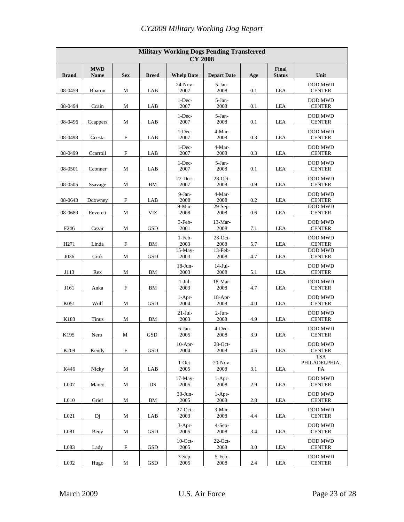| <b>Military Working Dogs Pending Transferred</b><br><b>CY 2008</b> |                           |                           |              |                    |                    |     |                        |                                   |
|--------------------------------------------------------------------|---------------------------|---------------------------|--------------|--------------------|--------------------|-----|------------------------|-----------------------------------|
| <b>Brand</b>                                                       | <b>MWD</b><br><b>Name</b> | <b>Sex</b>                | <b>Breed</b> | <b>Whelp Date</b>  | <b>Depart Date</b> | Age | Final<br><b>Status</b> | Unit                              |
| 08-0459                                                            | Bbaron                    | М                         | LAB          | 24-Nov-<br>2007    | 5-Jan-<br>2008     | 0.1 | LEA                    | DOD MWD<br><b>CENTER</b>          |
| 08-0494                                                            | Ccain                     | M                         | LAB          | 1-Dec-<br>2007     | 5-Jan-<br>2008     | 0.1 | LEA                    | DOD MWD<br><b>CENTER</b>          |
| 08-0496                                                            | Ccappers                  | М                         | LAB          | 1-Dec-<br>2007     | 5-Jan-<br>2008     | 0.1 | LEA                    | <b>DOD MWD</b><br><b>CENTER</b>   |
| 08-0498                                                            | Ccesta                    | $\boldsymbol{\mathrm{F}}$ | LAB          | 1-Dec-<br>2007     | 4-Mar-<br>2008     | 0.3 | LEA                    | <b>DOD MWD</b><br><b>CENTER</b>   |
| 08-0499                                                            | Ccarroll                  | $\mathbf F$               | LAB          | 1-Dec-<br>2007     | 4-Mar-<br>2008     | 0.3 | LEA                    | <b>DOD MWD</b><br><b>CENTER</b>   |
| 08-0501                                                            | Cconner                   | M                         | LAB          | 1-Dec-<br>2007     | 5-Jan-<br>2008     | 0.1 | LEA                    | DOD MWD<br><b>CENTER</b>          |
| 08-0505                                                            | Ssavage                   | M                         | BM           | 22-Dec-<br>2007    | $28$ -Oct-<br>2008 | 0.9 | LEA                    | DOD MWD<br><b>CENTER</b>          |
| 08-0643                                                            | Ddowney                   | $\boldsymbol{\mathrm{F}}$ | LAB          | 9-Jan-<br>2008     | 4-Mar-<br>2008     | 0.2 | LEA                    | <b>DOD MWD</b><br><b>CENTER</b>   |
| 08-0689                                                            | Eeverett                  | М                         | <b>VIZ</b>   | 9-Mar-<br>2008     | $29-Sep-$<br>2008  | 0.6 | LEA                    | <b>DOD MWD</b><br><b>CENTER</b>   |
| F <sub>246</sub>                                                   | Cezar                     | М                         | <b>GSD</b>   | 3-Feb-<br>2001     | 13-Mar-<br>2008    | 7.1 | LEA                    | DOD MWD<br><b>CENTER</b>          |
| H <sub>271</sub>                                                   | Linda                     | F                         | BM           | 1-Feb-<br>2003     | $28$ -Oct-<br>2008 | 5.7 | LEA                    | DOD MWD<br><b>CENTER</b>          |
| J036                                                               | Crok                      | М                         | <b>GSD</b>   | 15-May-<br>2003    | $13$ -Feb-<br>2008 | 4.7 | <b>LEA</b>             | <b>DOD MWD</b><br><b>CENTER</b>   |
| J113                                                               | Rex                       | М                         | <b>BM</b>    | $18$ -Jun-<br>2003 | $14-Jul-$<br>2008  | 5.1 | LEA                    | <b>DOD MWD</b><br><b>CENTER</b>   |
| J161                                                               | Anka                      | $\boldsymbol{\mathrm{F}}$ | <b>BM</b>    | $1-Jul-$<br>2003   | 18-Mar-<br>2008    | 4.7 | LEA                    | DOD MWD<br><b>CENTER</b>          |
| K051                                                               | Wolf                      | М                         | <b>GSD</b>   | $1-Apr-$<br>2004   | $18-Apr-$<br>2008  | 4.0 | LEA                    | DOD MWD<br><b>CENTER</b>          |
| K183                                                               | Tinus                     | М                         | BM           | $21-Jul-$<br>2003  | $2-Jun-$<br>2008   | 4.9 | LEA                    | DOD MWD<br><b>CENTER</b>          |
| K195                                                               | Nero                      | M                         | <b>GSD</b>   | 6-Jan-<br>2005     | 4-Dec-<br>2008     | 3.9 | LEA                    | <b>DOD MWD</b><br><b>CENTER</b>   |
| K209                                                               | Kendy                     | $\mathbf F$               | GSD          | $10-Apr-$<br>2004  | $28-Oct-$<br>2008  | 4.6 | <b>LEA</b>             | DOD MWD<br><b>CENTER</b>          |
| K446                                                               | Nicky                     | М                         | LAB          | $1$ -Oct-<br>2005  | 20-Nov-<br>2008    | 3.1 | LEA                    | <b>TSA</b><br>PHILADELPHIA,<br>PA |
| L007                                                               | Marco                     | М                         | DS           | $17-May-$<br>2005  | $1-Apr-$<br>2008   | 2.9 | LEA                    | DOD MWD<br><b>CENTER</b>          |
| L <sub>010</sub>                                                   | Grief                     | М                         | BM           | 30-Jun-<br>2005    | $1-Apr-$<br>2008   | 2.8 | LEA                    | <b>DOD MWD</b><br><b>CENTER</b>   |
| L <sub>021</sub>                                                   | Dj                        | M                         | LAB          | $27$ -Oct-<br>2003 | 3-Mar-<br>2008     | 4.4 | LEA                    | <b>DOD MWD</b><br><b>CENTER</b>   |
| L081                                                               | Beny                      | M                         | GSD          | $3-Apr-$<br>2005   | 4-Sep-<br>2008     | 3.4 | LEA                    | DOD MWD<br><b>CENTER</b>          |
| L083                                                               | Lady                      | F                         | GSD          | $10$ -Oct-<br>2005 | $22$ -Oct-<br>2008 | 3.0 | LEA                    | DOD MWD<br><b>CENTER</b>          |
| L092                                                               | Hugo                      | M                         | GSD          | $3-Sep-$<br>2005   | 5-Feb-<br>2008     | 2.4 | LEA                    | DOD MWD<br><b>CENTER</b>          |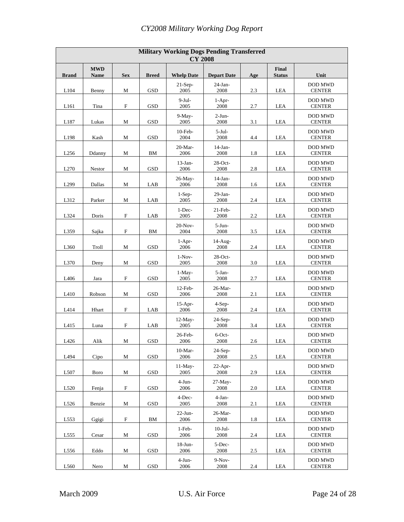|                  | <b>Military Working Dogs Pending Transferred</b><br><b>CY 2008</b> |                           |              |                      |                    |     |                        |                                 |  |
|------------------|--------------------------------------------------------------------|---------------------------|--------------|----------------------|--------------------|-----|------------------------|---------------------------------|--|
| <b>Brand</b>     | <b>MWD</b><br><b>Name</b>                                          | <b>Sex</b>                | <b>Breed</b> | <b>Whelp Date</b>    | <b>Depart Date</b> | Age | Final<br><b>Status</b> | Unit                            |  |
| L104             | Benny                                                              | М                         | <b>GSD</b>   | $21-Sep-$<br>2005    | $24-Jan-$<br>2008  | 2.3 | <b>LEA</b>             | <b>DOD MWD</b><br><b>CENTER</b> |  |
| L <sub>161</sub> | Tina                                                               | F                         | <b>GSD</b>   | $9-Jul-$<br>2005     | $1-Apr-$<br>2008   | 2.7 | LEA                    | <b>DOD MWD</b><br><b>CENTER</b> |  |
| L187             | Lukas                                                              | М                         | <b>GSD</b>   | $9-May-$<br>2005     | $2-J$ un-<br>2008  | 3.1 | LEA                    | DOD MWD<br><b>CENTER</b>        |  |
| L198             | Kash                                                               | М                         | <b>GSD</b>   | $10$ -Feb-<br>2004   | $5-Jul-$<br>2008   | 4.4 | LEA                    | <b>DOD MWD</b><br><b>CENTER</b> |  |
| L256             | Ddanny                                                             | М                         | BM           | 20-Mar-<br>2006      | $14$ -Jan-<br>2008 | 1.8 | LEA                    | <b>DOD MWD</b><br><b>CENTER</b> |  |
| L270             | Nestor                                                             | М                         | GSD          | $13$ -Jan-<br>2006   | $28$ -Oct-<br>2008 | 2.8 | LEA                    | DOD MWD<br><b>CENTER</b>        |  |
| L <sub>299</sub> | Dallas                                                             | М                         | LAB          | 26-May-<br>2006      | $14$ -Jan-<br>2008 | 1.6 | <b>LEA</b>             | DOD MWD<br><b>CENTER</b>        |  |
| L312             | Parker                                                             | М                         | LAB          | $1-Sep-$<br>2005     | $29-Ian-$<br>2008  | 2.4 | <b>LEA</b>             | <b>DOD MWD</b><br><b>CENTER</b> |  |
| L324             | Doris                                                              | F                         | LAB          | 1-Dec-<br>2005       | $21-Feb-$<br>2008  | 2.2 | <b>LEA</b>             | DOD MWD<br><b>CENTER</b>        |  |
| L359             | Sajka                                                              | F                         | BM           | $20-Nov-$<br>2004    | $5-J$ un-<br>2008  | 3.5 | LEA                    | DOD MWD<br><b>CENTER</b>        |  |
| L360             | Troll                                                              | М                         | <b>GSD</b>   | $1-Apr-$<br>2006     | 14-Aug-<br>2008    | 2.4 | LEA                    | <b>DOD MWD</b><br><b>CENTER</b> |  |
| L370             | Deny                                                               | М                         | <b>GSD</b>   | $1-Nov-$<br>2005     | $28$ -Oct-<br>2008 | 3.0 | <b>LEA</b>             | <b>DOD MWD</b><br><b>CENTER</b> |  |
| L406             | Jara                                                               | F                         | <b>GSD</b>   | $1-May-$<br>2005     | 5-Jan-<br>2008     | 2.7 | LEA                    | <b>DOD MWD</b><br><b>CENTER</b> |  |
| L410             | Robson                                                             | М                         | <b>GSD</b>   | $12$ -Feb-<br>2006   | 26-Mar-<br>2008    | 2.1 | <b>LEA</b>             | <b>DOD MWD</b><br><b>CENTER</b> |  |
| L414             | Hhart                                                              | F                         | LAB          | $15-Apr-$<br>2006    | 4-Sep-<br>2008     | 2.4 | <b>LEA</b>             | <b>DOD MWD</b><br><b>CENTER</b> |  |
| L415             | Luna                                                               | F                         | LAB          | $12-May-$<br>2005    | 24-Sep-<br>2008    | 3.4 | LEA                    | <b>DOD MWD</b><br><b>CENTER</b> |  |
| L426             | Alik                                                               | М                         | <b>GSD</b>   | $26$ -Feb-<br>2006   | 6-Oct-<br>2008     | 2.6 | LEA                    | DOD MWD<br><b>CENTER</b>        |  |
| L494             | Cipo                                                               | М                         | GSD          | $10-Mar-$<br>2006    | $24-Sep-$<br>2008  | 2.5 | LEA                    | DOD MWD<br><b>CENTER</b>        |  |
| L <sub>507</sub> | <b>B</b> oro                                                       | М                         | GSD          | $11-May-$<br>2005    | $22-Apr-$<br>2008  | 2.9 | <b>LEA</b>             | DOD MWD<br><b>CENTER</b>        |  |
| L520             | Fenja                                                              | $\boldsymbol{\mathrm{F}}$ | GSD          | $4-J$ un-<br>2006    | 27-May-<br>2008    | 2.0 | LEA                    | <b>DOD MWD</b><br><b>CENTER</b> |  |
| L <sub>526</sub> | Benzie                                                             | М                         | GSD          | 4-Dec-<br>2005       | 4-Jan-<br>2008     | 2.1 | LEA                    | DOD MWD<br><b>CENTER</b>        |  |
| L <sub>553</sub> | Ggigi                                                              | $\boldsymbol{\mathrm{F}}$ | BM           | $22$ -Jun-<br>2006   | 26-Mar-<br>2008    | 1.8 | LEA                    | DOD MWD<br><b>CENTER</b>        |  |
| L <sub>555</sub> | Cesar                                                              | М                         | GSD          | 1-Feb-<br>2006       | $10-Jul-$<br>2008  | 2.4 | LEA                    | <b>DOD MWD</b><br><b>CENTER</b> |  |
| L <sub>556</sub> | Eddo                                                               | М                         | GSD          | $18 - Jun -$<br>2006 | 5-Dec-<br>2008     | 2.5 | LEA                    | <b>DOD MWD</b><br><b>CENTER</b> |  |
| L <sub>560</sub> | Nero                                                               | М                         | GSD          | 4-Jun-<br>2006       | $9-Nov-$<br>2008   | 2.4 | <b>LEA</b>             | <b>DOD MWD</b><br><b>CENTER</b> |  |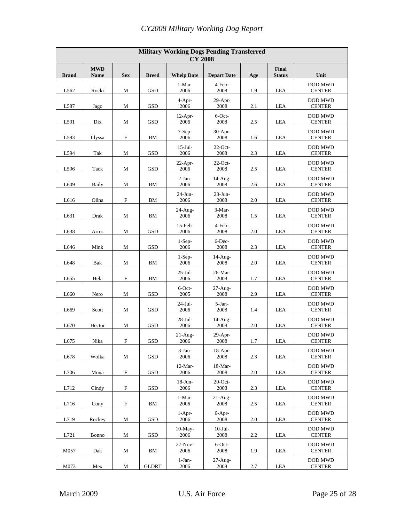|                  | <b>Military Working Dogs Pending Transferred</b><br><b>CY 2008</b> |                           |              |                    |                    |     |                        |                                 |  |
|------------------|--------------------------------------------------------------------|---------------------------|--------------|--------------------|--------------------|-----|------------------------|---------------------------------|--|
| <b>Brand</b>     | <b>MWD</b><br><b>Name</b>                                          | <b>Sex</b>                | <b>Breed</b> | <b>Whelp Date</b>  | <b>Depart Date</b> | Age | Final<br><b>Status</b> | Unit                            |  |
| L562             | Rocki                                                              | М                         | GSD          | 1-Mar-<br>2006     | 4-Feb-<br>2008     | 1.9 | LEA                    | DOD MWD<br>$\sf CENTER$         |  |
| L587             | Jago                                                               | M                         | GSD          | $4-Apr-$<br>2006   | 29-Apr-<br>2008    | 2.1 | LEA                    | DOD MWD<br><b>CENTER</b>        |  |
| L591             | Dix                                                                | M                         | GSD          | $12-Apr-$<br>2006  | 6-Oct-<br>2008     | 2.5 | LEA                    | DOD MWD<br><b>CENTER</b>        |  |
| L593             | Iilyssa                                                            | $\mathbf F$               | <b>BM</b>    | $7-Sep-$<br>2006   | $30-Apr-$<br>2008  | 1.6 | <b>LEA</b>             | DOD MWD<br><b>CENTER</b>        |  |
| L594             | Tak                                                                | М                         | GSD          | $15$ -Jul-<br>2006 | $22$ -Oct-<br>2008 | 2.3 | LEA                    | DOD MWD<br><b>CENTER</b>        |  |
| L596             | Tack                                                               | М                         | GSD          | $22$ -Apr-<br>2006 | $22$ -Oct-<br>2008 | 2.5 | LEA                    | DOD MWD<br><b>CENTER</b>        |  |
| L <sub>609</sub> | Baily                                                              | М                         | BM           | $2-Ian-$<br>2006   | 14-Aug-<br>2008    | 2.6 | LEA                    | DOD MWD<br><b>CENTER</b>        |  |
| L616             | Olina                                                              | $\boldsymbol{\mathrm{F}}$ | BM           | $24$ -Jun-<br>2006 | $23$ -Jun-<br>2008 | 2.0 | LEA                    | DOD MWD<br><b>CENTER</b>        |  |
| L631             | Drak                                                               | M                         | BM           | $24$ -Aug-<br>2006 | 3-Mar-<br>2008     | 1.5 | LEA                    | DOD MWD<br><b>CENTER</b>        |  |
| L638             | Arres                                                              | M                         | <b>GSD</b>   | $15$ -Feb-<br>2006 | 4-Feb-<br>2008     | 2.0 | LEA                    | DOD MWD<br><b>CENTER</b>        |  |
| L646             | Mink                                                               | M                         | <b>GSD</b>   | $1-Sep-$<br>2006   | 6-Dec-<br>2008     | 2.3 | LEA                    | DOD MWD<br><b>CENTER</b>        |  |
| L648             | Bak                                                                | M                         | <b>BM</b>    | $1-Sep-$<br>2006   | 14-Aug-<br>2008    | 2.0 | LEA                    | DOD MWD<br><b>CENTER</b>        |  |
| L655             | Hela                                                               | $\mathbf F$               | <b>BM</b>    | $25$ -Jul-<br>2006 | $26$ -Mar-<br>2008 | 1.7 | <b>LEA</b>             | DOD MWD<br><b>CENTER</b>        |  |
| L660             | Nero                                                               | M                         | GSD          | 6-Oct-<br>2005     | $27-Aug-$<br>2008  | 2.9 | LEA                    | DOD MWD<br><b>CENTER</b>        |  |
| L669             | Scott                                                              | M                         | <b>GSD</b>   | $24-Jul-$<br>2006  | 5-Jan-<br>2008     | 1.4 | LEA                    | DOD MWD<br><b>CENTER</b>        |  |
| L670             | Hector                                                             | M                         | <b>GSD</b>   | 28-Jul-<br>2006    | 14-Aug-<br>2008    | 2.0 | LEA                    | <b>DOD MWD</b><br><b>CENTER</b> |  |
| L675             | Nika                                                               | F                         | GSD          | $21-Aug-$<br>2006  | 29-Apr-<br>2008    | 1.7 | LEA                    | DOD MWD<br><b>CENTER</b>        |  |
| L678             | Wolka                                                              | M                         | GSD          | $3-Jan-$<br>2006   | $18-Apr-$<br>2008  | 2.3 | LEA                    | DOD MWD<br><b>CENTER</b>        |  |
| L706             | Mona                                                               | $\mathbf F$               | GSD          | $12-Mar-$<br>2006  | 18-Mar-<br>2008    | 2.0 | LEA                    | DOD MWD<br><b>CENTER</b>        |  |
| L712             | Cindy                                                              | $\mathbf F$               | GSD          | $18$ -Jun-<br>2006 | $20$ -Oct-<br>2008 | 2.3 | LEA                    | DOD MWD<br><b>CENTER</b>        |  |
| L716             | Cony                                                               | $\boldsymbol{\mathrm{F}}$ | BM           | 1-Mar-<br>2006     | $21-Au$ g-<br>2008 | 2.5 | LEA                    | <b>DOD MWD</b><br><b>CENTER</b> |  |
| L719             | Rockey                                                             | M                         | <b>GSD</b>   | $1-Apr-$<br>2006   | 6-Apr-<br>2008     | 2.0 | LEA                    | DOD MWD<br><b>CENTER</b>        |  |
| L721             | Bonno                                                              | M                         | GSD          | $10-May-$<br>2006  | $10-Jul-$<br>2008  | 2.2 | LEA                    | DOD MWD<br><b>CENTER</b>        |  |
| M057             | Dak                                                                | М                         | BM           | $27-Nov-$<br>2006  | 6-Oct-<br>2008     | 1.9 | LEA                    | DOD MWD<br><b>CENTER</b>        |  |
| $\rm M073$       | Mex                                                                | М                         | <b>GLDRT</b> | 1-Jan-<br>2006     | $27-Aug-$<br>2008  | 2.7 | LEA                    | DOD MWD<br><b>CENTER</b>        |  |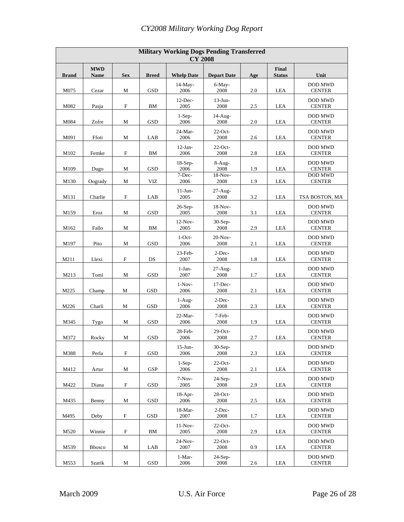| <b>Military Working Dogs Pending Transferred</b><br><b>CY 2008</b> |                           |                           |              |                    |                    |     |                        |                                 |
|--------------------------------------------------------------------|---------------------------|---------------------------|--------------|--------------------|--------------------|-----|------------------------|---------------------------------|
| <b>Brand</b>                                                       | <b>MWD</b><br><b>Name</b> | <b>Sex</b>                | <b>Breed</b> | <b>Whelp Date</b>  | <b>Depart Date</b> | Age | Final<br><b>Status</b> | Unit                            |
| M075                                                               | Cezar                     | М                         | <b>GSD</b>   | $14-May-$<br>2006  | 6-May-<br>2008     | 2.0 | LEA                    | <b>DOD MWD</b><br><b>CENTER</b> |
| M082                                                               | Pasja                     | $\mathbf F$               | BM           | $12$ -Dec-<br>2005 | $13$ -Jun-<br>2008 | 2.5 | LEA                    | <b>DOD MWD</b><br><b>CENTER</b> |
| M084                                                               | Zofre                     | М                         | <b>GSD</b>   | $1-Sep-$<br>2006   | 14-Aug-<br>2008    | 2.0 | LEA                    | <b>DOD MWD</b><br><b>CENTER</b> |
| M091                                                               | Ffoti                     | М                         | LAB          | 24-Mar-<br>2006    | $22$ -Oct-<br>2008 | 2.6 | <b>LEA</b>             | <b>DOD MWD</b><br><b>CENTER</b> |
| M102                                                               | Femke                     | $\boldsymbol{\mathrm{F}}$ | <b>BM</b>    | $12-Ian-$<br>2006  | $22$ -Oct-<br>2008 | 2.8 | <b>LEA</b>             | <b>DOD MWD</b><br><b>CENTER</b> |
| M109                                                               | Dugo                      | М                         | <b>GSD</b>   | $18-Sep-$<br>2006  | 8-Aug-<br>2008     | 1.9 | LEA                    | <b>DOD MWD</b><br><b>CENTER</b> |
| M130                                                               | Oogrady                   | М                         | <b>VIZ</b>   | 7-Dec-<br>2006     | $18-Nov-$<br>2008  | 1.9 | LEA                    | <b>DOD MWD</b><br><b>CENTER</b> |
| M131                                                               | Charlie                   | F                         | LAB          | $11-J$ un-<br>2005 | $27-Aug-$<br>2008  | 3.2 | <b>LEA</b>             | TSA BOSTON, MA                  |
| M159                                                               | Eroz                      | М                         | <b>GSD</b>   | $26-Sep-$<br>2005  | 18-Nov-<br>2008    | 3.1 | <b>LEA</b>             | DOD MWD<br><b>CENTER</b>        |
| M162                                                               | Fallo                     | M                         | BM           | $12-Nov-$<br>2005  | $30-Sep-$<br>2008  | 2.9 | LEA                    | DOD MWD<br><b>CENTER</b>        |
| M197                                                               | Pito                      | M                         | <b>GSD</b>   | $1$ -Oct-<br>2006  | $20-Nov-$<br>2008  | 2.1 | LEA                    | <b>DOD MWD</b><br><b>CENTER</b> |
| M211                                                               | Llexi                     | F                         | DS           | 23-Feb-<br>2007    | $2$ -Dec-<br>2008  | 1.8 | LEA                    | <b>DOD MWD</b><br><b>CENTER</b> |
| M213                                                               | Tomi                      | M                         | <b>GSD</b>   | $1-Jan-$<br>2007   | $27-Aug-$<br>2008  | 1.7 | LEA                    | <b>DOD MWD</b><br><b>CENTER</b> |
| M225                                                               | Champ                     | М                         | <b>GSD</b>   | $1-Nov-$<br>2006   | $17$ -Dec-<br>2008 | 2.1 | LEA                    | <b>DOD MWD</b><br><b>CENTER</b> |
| M226                                                               | Charli                    | М                         | <b>GSD</b>   | $1-Aug-$<br>2006   | $2$ -Dec-<br>2008  | 2.3 | LEA                    | <b>DOD MWD</b><br><b>CENTER</b> |
| M345                                                               | Tygo                      | М                         | GSD          | 22-Mar-<br>2006    | 7-Feb-<br>2008     | 1.9 | LEA                    | <b>DOD MWD</b><br><b>CENTER</b> |
| M372                                                               | Rocky                     | М                         | <b>GSD</b>   | 28-Feb-<br>2006    | $29$ -Oct-<br>2008 | 2.7 | LEA                    | <b>DOD MWD</b><br><b>CENTER</b> |
| M388                                                               | Perla                     | F                         | <b>GSD</b>   | $15$ -Jun-<br>2006 | 30-Sep-<br>2008    | 2.3 | <b>LEA</b>             | <b>DOD MWD</b><br><b>CENTER</b> |
| M412                                                               | Artur                     | М                         | GSP          | $1-Sep-$<br>2006   | $22$ -Oct-<br>2008 | 2.1 | LEA                    | <b>DOD MWD</b><br><b>CENTER</b> |
| M422                                                               | Diana                     | $\boldsymbol{\mathrm{F}}$ | <b>GSD</b>   | $7-Nov-$<br>2005   | $24-Sep-$<br>2008  | 2.9 | LEA                    | DOD MWD<br><b>CENTER</b>        |
| M435                                                               | Benny                     | М                         | GSD          | $18-Apr-$<br>2006  | $28$ -Oct-<br>2008 | 2.5 | LEA                    | <b>DOD MWD</b><br><b>CENTER</b> |
| M495                                                               | Deby                      | F                         | GSD          | 18-Mar-<br>2007    | 2-Dec-<br>2008     | 1.7 | LEA                    | DOD MWD<br><b>CENTER</b>        |
| M520                                                               | Winnie                    | F                         | BM           | $11-Nov-$<br>2005  | $22$ -Oct-<br>2008 | 2.9 | LEA                    | DOD MWD<br><b>CENTER</b>        |
| M539                                                               | <b>B</b> bosco            | М                         | LAB          | 24-Nov-<br>2007    | $22$ -Oct-<br>2008 | 0.9 | LEA                    | DOD MWD<br><b>CENTER</b>        |
| M553                                                               | Szarik                    | M                         | GSD          | 1-Mar-<br>2006     | $24-Sep-$<br>2008  | 2.6 | LEA                    | <b>DOD MWD</b><br><b>CENTER</b> |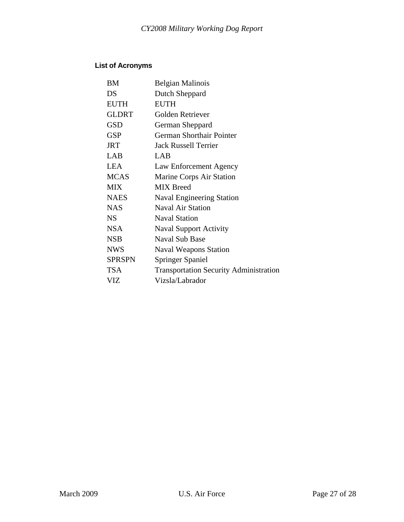# **List of Acronyms**

| ΒM            | <b>Belgian Malinois</b>                       |
|---------------|-----------------------------------------------|
| DS            | Dutch Sheppard                                |
| <b>EUTH</b>   | <b>EUTH</b>                                   |
| <b>GLDRT</b>  | Golden Retriever                              |
| <b>GSD</b>    | German Sheppard                               |
| <b>GSP</b>    | German Shorthair Pointer                      |
| <b>JRT</b>    | <b>Jack Russell Terrier</b>                   |
| LAB           | LAB                                           |
| <b>LEA</b>    | Law Enforcement Agency                        |
| <b>MCAS</b>   | Marine Corps Air Station                      |
| <b>MIX</b>    | <b>MIX</b> Breed                              |
| <b>NAES</b>   | <b>Naval Engineering Station</b>              |
| <b>NAS</b>    | <b>Naval Air Station</b>                      |
| <b>NS</b>     | <b>Naval Station</b>                          |
| <b>NSA</b>    | <b>Naval Support Activity</b>                 |
| <b>NSB</b>    | <b>Naval Sub Base</b>                         |
| <b>NWS</b>    | <b>Naval Weapons Station</b>                  |
| <b>SPRSPN</b> | <b>Springer Spaniel</b>                       |
| <b>TSA</b>    | <b>Transportation Security Administration</b> |
| VIZ           | Vizsla/Labrador                               |